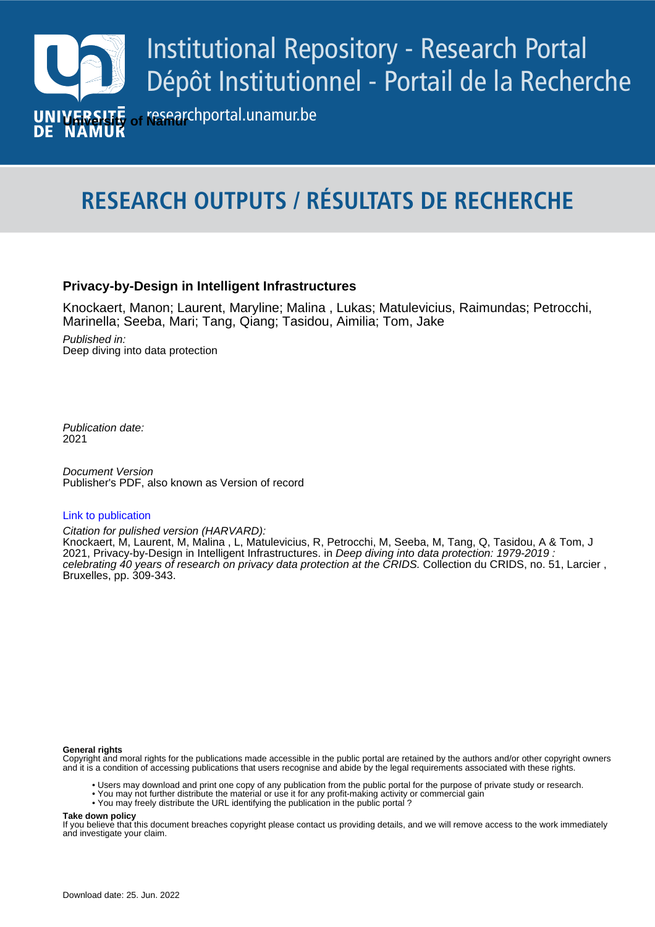

# **RESEARCH OUTPUTS / RÉSULTATS DE RECHERCHE**

## **Privacy-by-Design in Intelligent Infrastructures**

Knockaert, Manon; Laurent, Maryline; Malina , Lukas; Matulevicius, Raimundas; Petrocchi, Marinella; Seeba, Mari; Tang, Qiang; Tasidou, Aimilia; Tom, Jake

Published in: Deep diving into data protection

Publication date: 2021

**Publication date - Date de publication :** Publisher's PDF, also known as Version of record Document Version

#### [Link to publication](https://researchportal.unamur.be/en/publications/b9b2debd-5150-4607-8281-df4e66294924)

Citation for pulished version (HARVARD):

2021, Privacy-by-Design in Intelligent Infrastructures. in *Deep diving into data protection: 1979-2019 :* Knockaert, M, Laurent, M, Malina , L, Matulevicius, R, Petrocchi, M, Seeba, M, Tang, Q, Tasidou, A & Tom, J celebrating 40 years of research on privacy data protection at the CRIDS. Collection du CRIDS, no. 51, Larcier , Bruxelles, pp. 309-343.

#### **General rights**

Copyright and moral rights for the publications made accessible in the public portal are retained by the authors and/or other copyright owners and it is a condition of accessing publications that users recognise and abide by the legal requirements associated with these rights.

- Users may download and print one copy of any publication from the public portal for the purpose of private study or research.
- You may not further distribute the material or use it for any profit-making activity or commercial gain
- You may freely distribute the URL identifying the publication in the public portal ?

**Take down policy**

If you believe that this document breaches copyright please contact us providing details, and we will remove access to the work immediately and investigate your claim.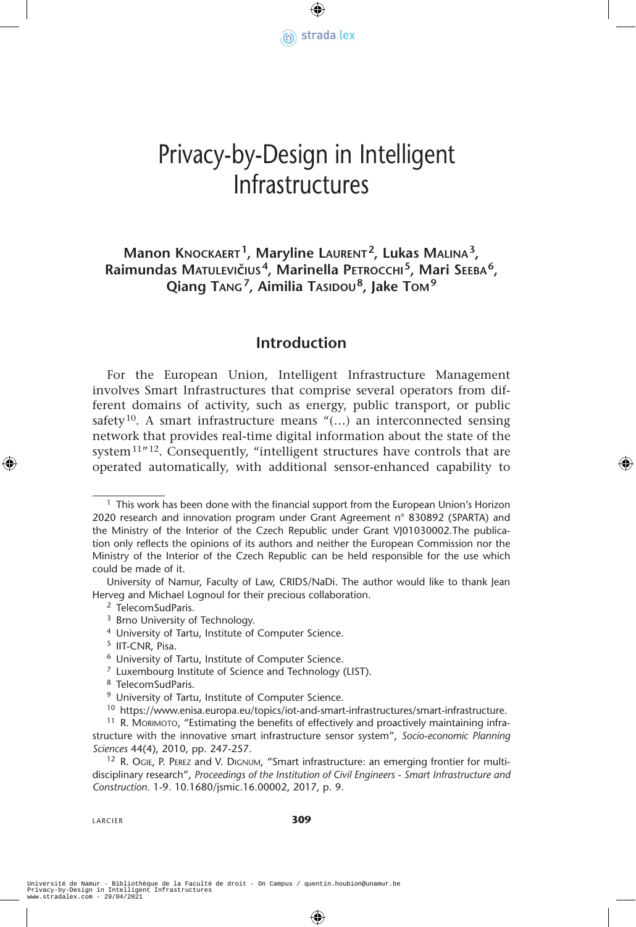

# Privacy-by-Design in Intelligent Infrastructures

## **Manon Knockaert1, Maryline Laurent2, Lukas Malina3, Raimundas Matulevičius4, Marinella Petrocchi 5, Mari Seeba6, Qiang Tang7, Aimilia Tasidou8, Jake Tom<sup>9</sup>**

## **Introduction**

For the European Union, Intelligent Infrastructure Management involves Smart Infrastructures that comprise several operators from different domains of activity, such as energy, public transport, or public safety<sup>10</sup>. A smart infrastructure means " $(...)$  an interconnected sensing network that provides real-time digital information about the state of the system<sup>11"12</sup>. Consequently, "intelligent structures have controls that are operated automatically, with additional sensor-enhanced capability to

LARCIER **309**

 $<sup>1</sup>$  This work has been done with the financial support from the European Union's Horizon</sup> 2020 research and innovation program under Grant Agreement n° 830892 (SPARTA) and the Ministry of the Interior of the Czech Republic under Grant VJ01030002.The publication only reflects the opinions of its authors and neither the European Commission nor the Ministry of the Interior of the Czech Republic can be held responsible for the use which could be made of it.

University of Namur, Faculty of Law, CRIDS/NaDi. The author would like to thank Jean Herveg and Michael Lognoul for their precious collaboration.

<sup>2</sup> TelecomSudParis.

<sup>&</sup>lt;sup>3</sup> Brno University of Technology.<br><sup>4</sup> University of Tartu, Institute of Computer Science.

<sup>5</sup> IIT-CNR, Pisa.

<sup>6</sup> University of Tartu, Institute of Computer Science.

<sup>7</sup> Luxembourg Institute of Science and Technology (LIST).

<sup>&</sup>lt;sup>8</sup> TelecomSudParis.<br><sup>9</sup> University of Tartu, Institute of Computer Science.

<sup>10</sup> https://www.enisa.europa.eu/topics/iot-and-smart-infrastructures/smart-infrastructure.

<sup>&</sup>lt;sup>11</sup> R. Morimoto, "Estimating the benefits of effectively and proactively maintaining infrastructure with the innovative smart infrastructure sensor system", *Socio-economic Planning Sciences* 44(4), 2010, pp. 247-257.

<sup>12</sup> R. OGIE, P. PEREZ and V. DIGNUM, "Smart infrastructure: an emerging frontier for multidisciplinary research", *Proceedings of the Institution of Civil Engineers - Smart Infrastructure and Construction*. 1-9. 10.1680/jsmic.16.00002, 2017, p. 9.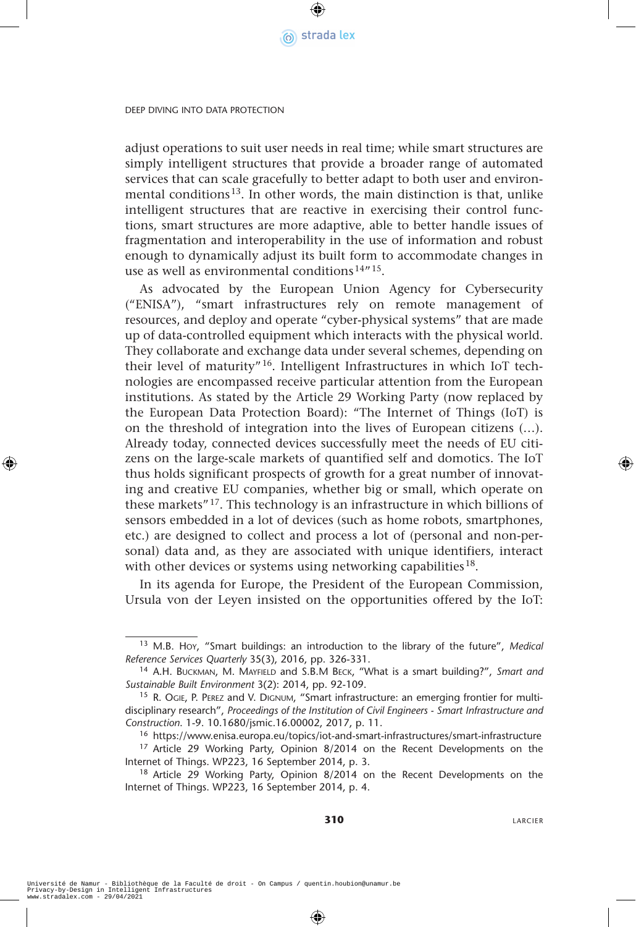

adjust operations to suit user needs in real time; while smart structures are simply intelligent structures that provide a broader range of automated services that can scale gracefully to better adapt to both user and environmental conditions<sup>13</sup>. In other words, the main distinction is that, unlike intelligent structures that are reactive in exercising their control functions, smart structures are more adaptive, able to better handle issues of fragmentation and interoperability in the use of information and robust enough to dynamically adjust its built form to accommodate changes in use as well as environmental conditions<sup>14"15</sup>.

As advocated by the European Union Agency for Cybersecurity ("ENISA"), "smart infrastructures rely on remote management of resources, and deploy and operate "cyber-physical systems" that are made up of data-controlled equipment which interacts with the physical world. They collaborate and exchange data under several schemes, depending on their level of maturity"16. Intelligent Infrastructures in which IoT technologies are encompassed receive particular attention from the European institutions. As stated by the Article 29 Working Party (now replaced by the European Data Protection Board): "The Internet of Things (IoT) is on the threshold of integration into the lives of European citizens (…). Already today, connected devices successfully meet the needs of EU citizens on the large-scale markets of quantified self and domotics. The IoT thus holds significant prospects of growth for a great number of innovating and creative EU companies, whether big or small, which operate on these markets"17. This technology is an infrastructure in which billions of sensors embedded in a lot of devices (such as home robots, smartphones, etc.) are designed to collect and process a lot of (personal and non-personal) data and, as they are associated with unique identifiers, interact with other devices or systems using networking capabilities<sup>18</sup>.

In its agenda for Europe, the President of the European Commission, Ursula von der Leyen insisted on the opportunities offered by the IoT:

<sup>13</sup> M.B. Hoy, "Smart buildings: an introduction to the library of the future", *Medical Reference Services Quarterly* 35(3), 2016, pp. 326-331.

<sup>14</sup> A.H. Buckman, M. Mayfield and S.B.M Beck, "What is a smart building?", *Smart and Sustainable Built Environment* 3(2): 2014, pp. 92-109.

<sup>&</sup>lt;sup>15</sup> R. Ogie, P. Perez and V. Dignum, "Smart infrastructure: an emerging frontier for multidisciplinary research", *Proceedings of the Institution of Civil Engineers - Smart Infrastructure and Construction*. 1-9. 10.1680/jsmic.16.00002, 2017, p. 11.

<sup>16</sup> https://www.enisa.europa.eu/topics/iot-and-smart-infrastructures/smart-infrastructure <sup>17</sup> Article 29 Working Party, Opinion 8/2014 on the Recent Developments on the Internet of Things. WP223, 16 September 2014, p. 3.

<sup>&</sup>lt;sup>18</sup> Article 29 Working Party, Opinion 8/2014 on the Recent Developments on the Internet of Things. WP223, 16 September 2014, p. 4.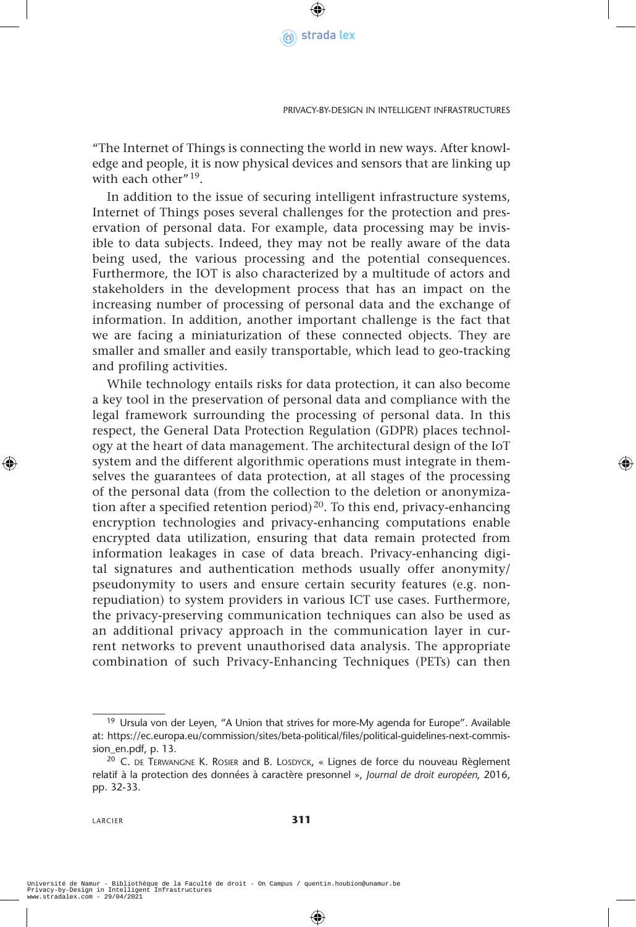

"The Internet of Things is connecting the world in new ways. After knowledge and people, it is now physical devices and sensors that are linking up with each other"<sup>19</sup>.

In addition to the issue of securing intelligent infrastructure systems, Internet of Things poses several challenges for the protection and preservation of personal data. For example, data processing may be invisible to data subjects. Indeed, they may not be really aware of the data being used, the various processing and the potential consequences. Furthermore, the IOT is also characterized by a multitude of actors and stakeholders in the development process that has an impact on the increasing number of processing of personal data and the exchange of information. In addition, another important challenge is the fact that we are facing a miniaturization of these connected objects. They are smaller and smaller and easily transportable, which lead to geo-tracking and profiling activities.

While technology entails risks for data protection, it can also become a key tool in the preservation of personal data and compliance with the legal framework surrounding the processing of personal data. In this respect, the General Data Protection Regulation (GDPR) places technology at the heart of data management. The architectural design of the IoT system and the different algorithmic operations must integrate in themselves the guarantees of data protection, at all stages of the processing of the personal data (from the collection to the deletion or anonymization after a specified retention period)<sup>20</sup>. To this end, privacy-enhancing encryption technologies and privacy-enhancing computations enable encrypted data utilization, ensuring that data remain protected from information leakages in case of data breach. Privacy-enhancing digital signatures and authentication methods usually offer anonymity/ pseudonymity to users and ensure certain security features (e.g. nonrepudiation) to system providers in various ICT use cases. Furthermore, the privacy-preserving communication techniques can also be used as an additional privacy approach in the communication layer in current networks to prevent unauthorised data analysis. The appropriate combination of such Privacy-Enhancing Techniques (PETs) can then

<sup>&</sup>lt;sup>19</sup> Ursula von der Leyen, "A Union that strives for more-My agenda for Europe". Available at: https://ec.europa.eu/commission/sites/beta-political/files/political-guidelines-next-commission\_en.pdf, p. 13.

<sup>&</sup>lt;sup>20</sup> C. DE TERWANGNE K. ROSIER and B. LOSDYCK, « Lignes de force du nouveau Règlement relatif à la protection des données à caractère presonnel », *Journal de droit européen*, 2016, pp. 32-33.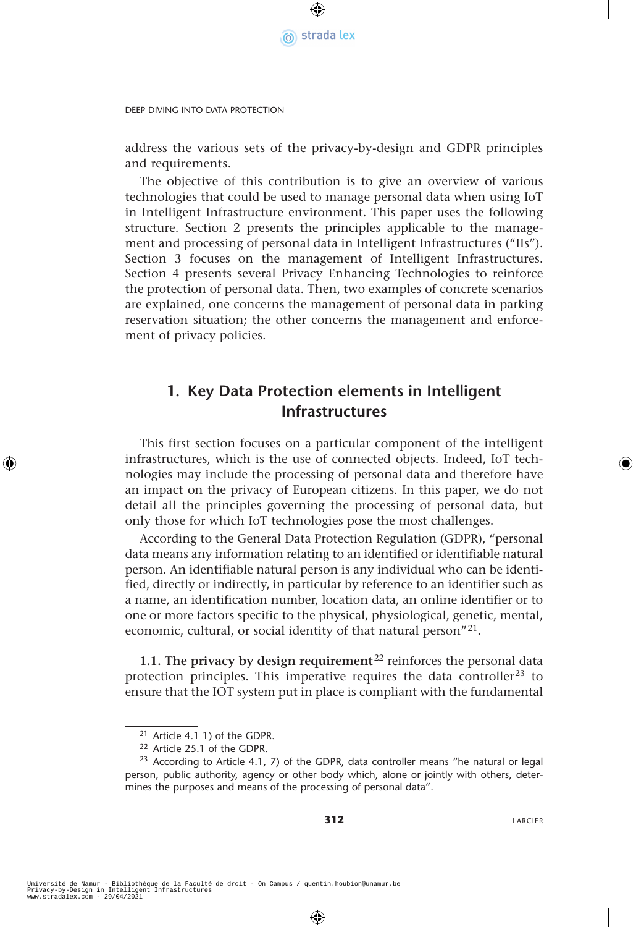

address the various sets of the privacy-by-design and GDPR principles and requirements.

The objective of this contribution is to give an overview of various technologies that could be used to manage personal data when using IoT in Intelligent Infrastructure environment. This paper uses the following structure. Section 2 presents the principles applicable to the management and processing of personal data in Intelligent Infrastructures ("IIs"). Section 3 focuses on the management of Intelligent Infrastructures. Section 4 presents several Privacy Enhancing Technologies to reinforce the protection of personal data. Then, two examples of concrete scenarios are explained, one concerns the management of personal data in parking reservation situation; the other concerns the management and enforcement of privacy policies.

## **1. Key Data Protection elements in Intelligent Infrastructures**

This first section focuses on a particular component of the intelligent infrastructures, which is the use of connected objects. Indeed, IoT technologies may include the processing of personal data and therefore have an impact on the privacy of European citizens. In this paper, we do not detail all the principles governing the processing of personal data, but only those for which IoT technologies pose the most challenges.

According to the General Data Protection Regulation (GDPR), "personal data means any information relating to an identified or identifiable natural person. An identifiable natural person is any individual who can be identified, directly or indirectly, in particular by reference to an identifier such as a name, an identification number, location data, an online identifier or to one or more factors specific to the physical, physiological, genetic, mental, economic, cultural, or social identity of that natural person"21.

**1.1. The privacy by design requirement**<sup>22</sup> reinforces the personal data protection principles. This imperative requires the data controller<sup>23</sup> to ensure that the IOT system put in place is compliant with the fundamental

<sup>21</sup> Article 4.1 1) of the GDPR.

<sup>22</sup> Article 25.1 of the GDPR.

 $23$  According to Article 4.1, 7) of the GDPR, data controller means "he natural or legal person, public authority, agency or other body which, alone or jointly with others, determines the purposes and means of the processing of personal data".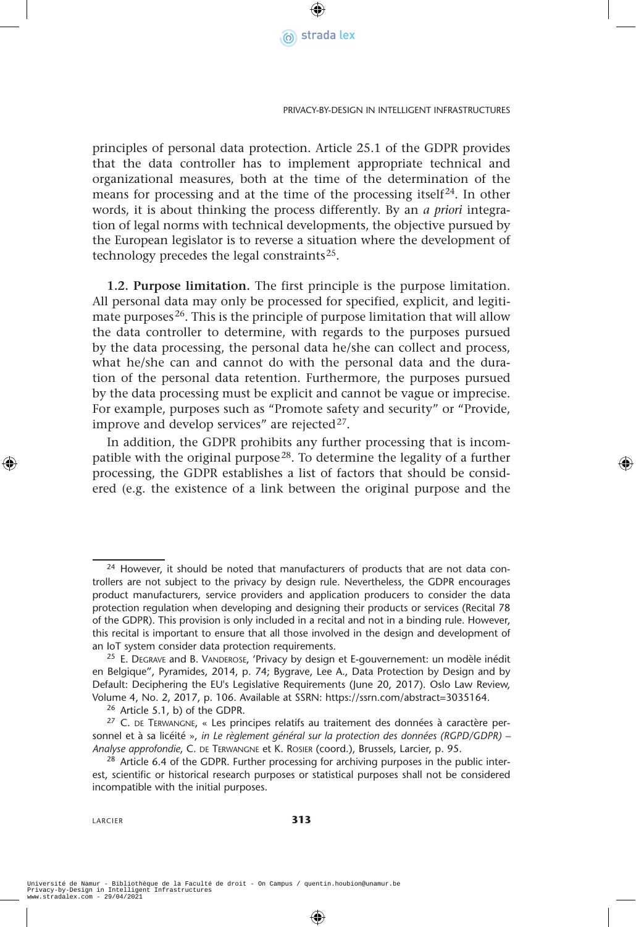

principles of personal data protection. Article 25.1 of the GDPR provides that the data controller has to implement appropriate technical and organizational measures, both at the time of the determination of the means for processing and at the time of the processing itself $^{24}$ . In other words, it is about thinking the process differently. By an *a priori* integration of legal norms with technical developments, the objective pursued by the European legislator is to reverse a situation where the development of technology precedes the legal constraints<sup>25</sup>.

**1.2. Purpose limitation.** The first principle is the purpose limitation. All personal data may only be processed for specified, explicit, and legitimate purposes<sup>26</sup>. This is the principle of purpose limitation that will allow the data controller to determine, with regards to the purposes pursued by the data processing, the personal data he/she can collect and process, what he/she can and cannot do with the personal data and the duration of the personal data retention. Furthermore, the purposes pursued by the data processing must be explicit and cannot be vague or imprecise. For example, purposes such as "Promote safety and security" or "Provide, improve and develop services" are rejected<sup>27</sup>.

In addition, the GDPR prohibits any further processing that is incompatible with the original purpose<sup>28</sup>. To determine the legality of a further processing, the GDPR establishes a list of factors that should be considered (e.g. the existence of a link between the original purpose and the

<sup>&</sup>lt;sup>24</sup> However, it should be noted that manufacturers of products that are not data controllers are not subject to the privacy by design rule. Nevertheless, the GDPR encourages product manufacturers, service providers and application producers to consider the data protection regulation when developing and designing their products or services (Recital 78 of the GDPR). This provision is only included in a recital and not in a binding rule. However, this recital is important to ensure that all those involved in the design and development of an IoT system consider data protection requirements.

<sup>&</sup>lt;sup>25</sup> E. DEGRAVE and B. VANDEROSE, 'Privacy by design et E-gouvernement: un modèle inédit en Belgique", Pyramides, 2014, p. 74; Bygrave, Lee A., Data Protection by Design and by Default: Deciphering the EU's Legislative Requirements (June 20, 2017). Oslo Law Review, Volume 4, No. 2, 2017, p. 106. Available at SSRN: https://ssrn.com/abstract=3035164.

<sup>26</sup> Article 5.1, b) of the GDPR.

 $27$  C. DE TERWANGNE, « Les principes relatifs au traitement des données à caractère personnel et à sa licéité », in Le règlement général sur la protection des données (RGPD/GDPR) – *Analyse approfondie*, C. de Terwangne et K. Rosier (coord.), Brussels, Larcier, p. 95.

<sup>&</sup>lt;sup>28</sup> Article 6.4 of the GDPR. Further processing for archiving purposes in the public interest, scientific or historical research purposes or statistical purposes shall not be considered incompatible with the initial purposes.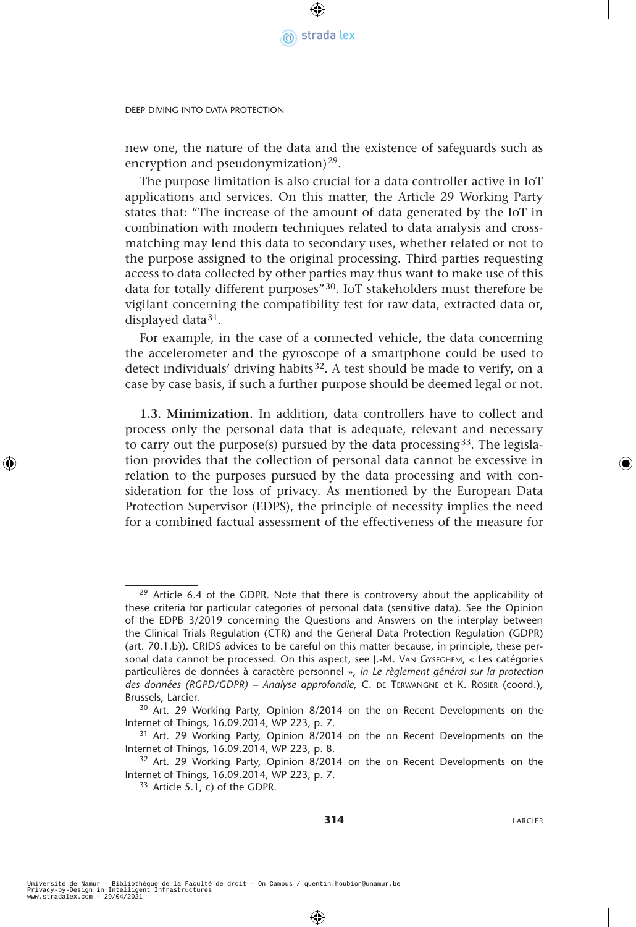

new one, the nature of the data and the existence of safeguards such as encryption and pseudonymization)<sup>29</sup>.

The purpose limitation is also crucial for a data controller active in IoT applications and services. On this matter, the Article 29 Working Party states that: "The increase of the amount of data generated by the IoT in combination with modern techniques related to data analysis and crossmatching may lend this data to secondary uses, whether related or not to the purpose assigned to the original processing. Third parties requesting access to data collected by other parties may thus want to make use of this data for totally different purposes"30. IoT stakeholders must therefore be vigilant concerning the compatibility test for raw data, extracted data or, displayed data $31$ .

For example, in the case of a connected vehicle, the data concerning the accelerometer and the gyroscope of a smartphone could be used to detect individuals' driving habits<sup>32</sup>. A test should be made to verify, on a case by case basis, if such a further purpose should be deemed legal or not.

**1.3. Minimization.** In addition, data controllers have to collect and process only the personal data that is adequate, relevant and necessary to carry out the purpose(s) pursued by the data processing  $33$ . The legislation provides that the collection of personal data cannot be excessive in relation to the purposes pursued by the data processing and with consideration for the loss of privacy. As mentioned by the European Data Protection Supervisor (EDPS), the principle of necessity implies the need for a combined factual assessment of the effectiveness of the measure for

 $29$  Article 6.4 of the GDPR. Note that there is controversy about the applicability of these criteria for particular categories of personal data (sensitive data). See the Opinion of the EDPB 3/2019 concerning the Questions and Answers on the interplay between the Clinical Trials Regulation (CTR) and the General Data Protection Regulation (GDPR) (art. 70.1.b)). CRIDS advices to be careful on this matter because, in principle, these personal data cannot be processed. On this aspect, see J.-M. Van Gyseghem, « Les catégories particulières de données à caractère personnel », *in Le règlement général sur la protection des données (RGPD/GDPR) – Analyse approfondie*, C. de Terwangne et K. Rosier (coord.), Brussels, Larcier.

<sup>30</sup> Art. 29 Working Party, Opinion 8/2014 on the on Recent Developments on the Internet of Things, 16.09.2014, WP 223, p. 7.

<sup>&</sup>lt;sup>31</sup> Art. 29 Working Party, Opinion 8/2014 on the on Recent Developments on the Internet of Things, 16.09.2014, WP 223, p. 8.

<sup>&</sup>lt;sup>32</sup> Art. 29 Working Party, Opinion 8/2014 on the on Recent Developments on the Internet of Things, 16.09.2014, WP 223, p. 7.

 $33$  Article 5.1, c) of the GDPR.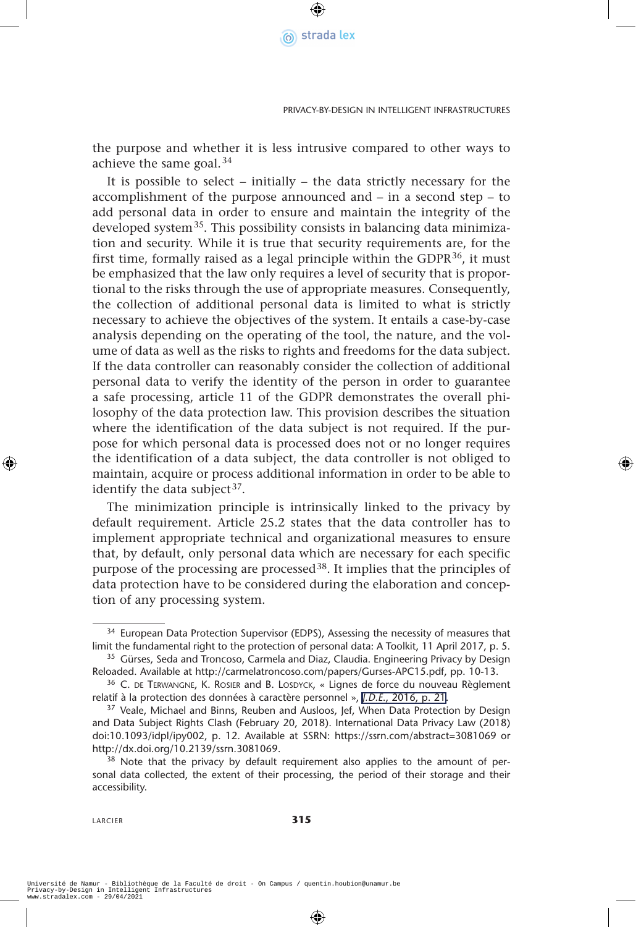

the purpose and whether it is less intrusive compared to other ways to achieve the same goal.34

It is possible to select – initially – the data strictly necessary for the accomplishment of the purpose announced and – in a second step – to add personal data in order to ensure and maintain the integrity of the developed system35. This possibility consists in balancing data minimization and security. While it is true that security requirements are, for the first time, formally raised as a legal principle within the GDPR $^{36}$ , it must be emphasized that the law only requires a level of security that is proportional to the risks through the use of appropriate measures. Consequently, the collection of additional personal data is limited to what is strictly necessary to achieve the objectives of the system. It entails a case-by-case analysis depending on the operating of the tool, the nature, and the volume of data as well as the risks to rights and freedoms for the data subject. If the data controller can reasonably consider the collection of additional personal data to verify the identity of the person in order to guarantee a safe processing, article 11 of the GDPR demonstrates the overall philosophy of the data protection law. This provision describes the situation where the identification of the data subject is not required. If the purpose for which personal data is processed does not or no longer requires the identification of a data subject, the data controller is not obliged to maintain, acquire or process additional information in order to be able to identify the data subject  $37$ .

The minimization principle is intrinsically linked to the privacy by default requirement. Article 25.2 states that the data controller has to implement appropriate technical and organizational measures to ensure that, by default, only personal data which are necessary for each specific purpose of the processing are processed38. It implies that the principles of data protection have to be considered during the elaboration and conception of any processing system.

<sup>&</sup>lt;sup>34</sup> European Data Protection Supervisor (EDPS), Assessing the necessity of measures that limit the fundamental right to the protection of personal data: A Toolkit, 11 April 2017, p. 5.

<sup>&</sup>lt;sup>35</sup> Gürses, Seda and Troncoso, Carmela and Diaz, Claudia. Engineering Privacy by Design Reloaded. Available at http://carmelatroncoso.com/papers/Gurses-APC15.pdf, pp. 10-13.

 $36$  C. DE TERWANGNE, K. ROSIER and B. LOSDYCK, « Lignes de force du nouveau Règlement relatif à la protection des données à caractère personnel », *J.D.E*[., 2016, p. 21.](http://www.stradalex.com/?type=hm&hyp=258332512/) 37 Veale, Michael and Binns, Reuben and Ausloos, Jef, When Data Protection by Design

and Data Subject Rights Clash (February 20, 2018). International Data Privacy Law (2018) doi:10.1093/idpl/ipy002, p. 12. Available at SSRN: https://ssrn.com/abstract=3081069 or http://dx.doi.org/10.2139/ssrn.3081069.<br><sup>38</sup> Note that the privacy by default requirement also applies to the amount of per-

sonal data collected, the extent of their processing, the period of their storage and their accessibility.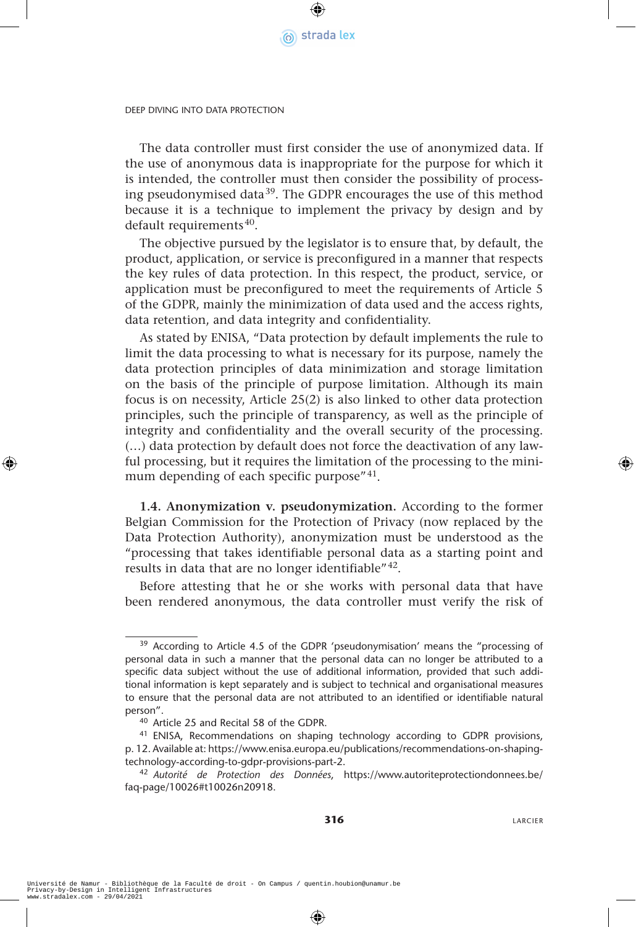

The data controller must first consider the use of anonymized data. If the use of anonymous data is inappropriate for the purpose for which it is intended, the controller must then consider the possibility of processing pseudonymised data39. The GDPR encourages the use of this method because it is a technique to implement the privacy by design and by default requirements<sup>40</sup>.

The objective pursued by the legislator is to ensure that, by default, the product, application, or service is preconfigured in a manner that respects the key rules of data protection. In this respect, the product, service, or application must be preconfigured to meet the requirements of Article 5 of the GDPR, mainly the minimization of data used and the access rights, data retention, and data integrity and confidentiality.

As stated by ENISA, "Data protection by default implements the rule to limit the data processing to what is necessary for its purpose, namely the data protection principles of data minimization and storage limitation on the basis of the principle of purpose limitation. Although its main focus is on necessity, Article 25(2) is also linked to other data protection principles, such the principle of transparency, as well as the principle of integrity and confidentiality and the overall security of the processing. (…) data protection by default does not force the deactivation of any lawful processing, but it requires the limitation of the processing to the minimum depending of each specific purpose"<sup>41</sup>.

**1.4. Anonymization v. pseudonymization.** According to the former Belgian Commission for the Protection of Privacy (now replaced by the Data Protection Authority), anonymization must be understood as the "processing that takes identifiable personal data as a starting point and results in data that are no longer identifiable"<sup>42</sup>.

Before attesting that he or she works with personal data that have been rendered anonymous, the data controller must verify the risk of

<sup>&</sup>lt;sup>39</sup> According to Article 4.5 of the GDPR 'pseudonymisation' means the "processing of personal data in such a manner that the personal data can no longer be attributed to a specific data subject without the use of additional information, provided that such additional information is kept separately and is subject to technical and organisational measures to ensure that the personal data are not attributed to an identified or identifiable natural person".

<sup>40</sup> Article 25 and Recital 58 of the GDPR.

<sup>&</sup>lt;sup>41</sup> ENISA, Recommendations on shaping technology according to GDPR provisions, p. 12. Available at: https://www.enisa.europa.eu/publications/recommendations-on-shaping-

technology-according-to-gdpr-provisions-part-2. 42 *Autorité de Protection des Données*, https://www.autoriteprotectiondonnees.be/ faq-page/10026#t10026n20918.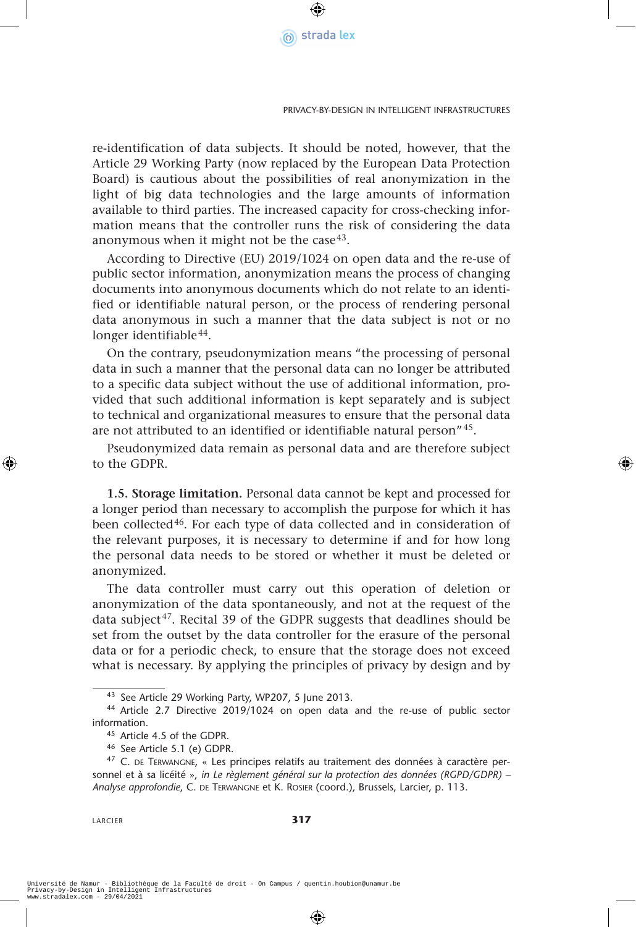

re-identification of data subjects. It should be noted, however, that the Article 29 Working Party (now replaced by the European Data Protection Board) is cautious about the possibilities of real anonymization in the light of big data technologies and the large amounts of information available to third parties. The increased capacity for cross-checking information means that the controller runs the risk of considering the data anonymous when it might not be the case<sup>43</sup>.

According to Directive (EU) 2019/1024 on open data and the re-use of public sector information, anonymization means the process of changing documents into anonymous documents which do not relate to an identified or identifiable natural person, or the process of rendering personal data anonymous in such a manner that the data subject is not or no longer identifiable<sup>44</sup>.

On the contrary, pseudonymization means "the processing of personal data in such a manner that the personal data can no longer be attributed to a specific data subject without the use of additional information, provided that such additional information is kept separately and is subject to technical and organizational measures to ensure that the personal data are not attributed to an identified or identifiable natural person"45.

Pseudonymized data remain as personal data and are therefore subject to the GDPR.

**1.5. Storage limitation.** Personal data cannot be kept and processed for a longer period than necessary to accomplish the purpose for which it has been collected<sup>46</sup>. For each type of data collected and in consideration of the relevant purposes, it is necessary to determine if and for how long the personal data needs to be stored or whether it must be deleted or anonymized.

The data controller must carry out this operation of deletion or anonymization of the data spontaneously, and not at the request of the data subject<sup>47</sup>. Recital 39 of the GDPR suggests that deadlines should be set from the outset by the data controller for the erasure of the personal data or for a periodic check, to ensure that the storage does not exceed what is necessary. By applying the principles of privacy by design and by

LARCIER **317**

<sup>43</sup> See Article 29 Working Party, WP207, 5 June 2013.

<sup>44</sup> Article 2.7 Directive 2019/1024 on open data and the re-use of public sector information.

<sup>45</sup> Article 4.5 of the GDPR.

<sup>46</sup> See Article 5.1 (e) GDPR.

<sup>&</sup>lt;sup>47</sup> C. DE TERWANGNE, « Les principes relatifs au traitement des données à caractère personnel et à sa licéité », *in Le règlement général sur la protection des données (RGPD/GDPR) – Analyse approfondie*, C. de Terwangne et K. Rosier (coord.), Brussels, Larcier, p. 113.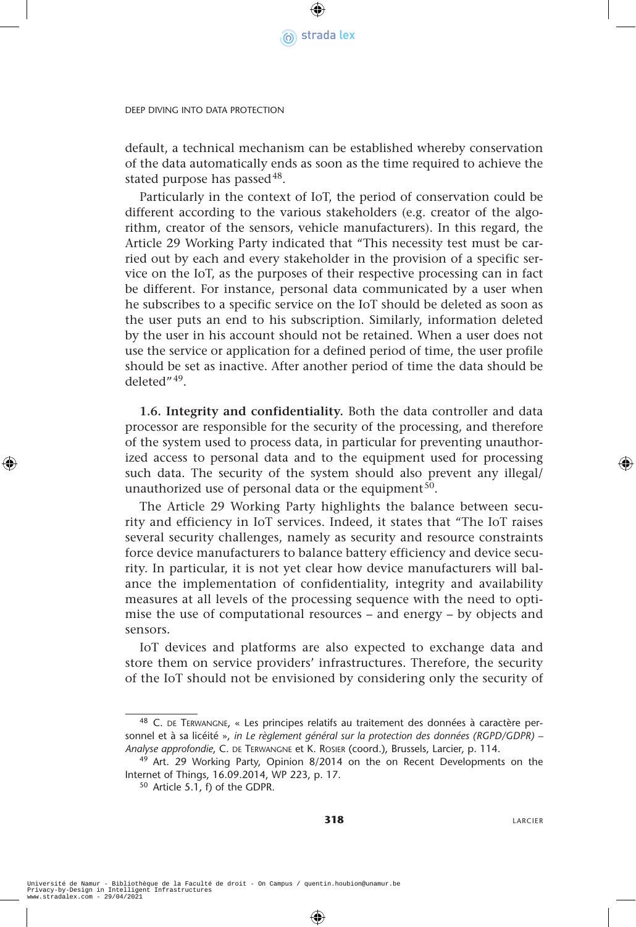

default, a technical mechanism can be established whereby conservation of the data automatically ends as soon as the time required to achieve the stated purpose has passed  $48$ .

Particularly in the context of IoT, the period of conservation could be different according to the various stakeholders (e.g. creator of the algorithm, creator of the sensors, vehicle manufacturers). In this regard, the Article 29 Working Party indicated that "This necessity test must be carried out by each and every stakeholder in the provision of a specific service on the IoT, as the purposes of their respective processing can in fact be different. For instance, personal data communicated by a user when he subscribes to a specific service on the IoT should be deleted as soon as the user puts an end to his subscription. Similarly, information deleted by the user in his account should not be retained. When a user does not use the service or application for a defined period of time, the user profile should be set as inactive. After another period of time the data should be deleted"49.

**1.6. Integrity and confidentiality.** Both the data controller and data processor are responsible for the security of the processing, and therefore of the system used to process data, in particular for preventing unauthorized access to personal data and to the equipment used for processing such data. The security of the system should also prevent any illegal/ unauthorized use of personal data or the equipment  $50$ .

The Article 29 Working Party highlights the balance between security and efficiency in IoT services. Indeed, it states that "The IoT raises several security challenges, namely as security and resource constraints force device manufacturers to balance battery efficiency and device security. In particular, it is not yet clear how device manufacturers will balance the implementation of confidentiality, integrity and availability measures at all levels of the processing sequence with the need to optimise the use of computational resources – and energy – by objects and sensors*.*

IoT devices and platforms are also expected to exchange data and store them on service providers' infrastructures. Therefore, the security of the IoT should not be envisioned by considering only the security of

**318** LARCIER

<sup>48</sup> C. DE TERWANGNE, « Les principes relatifs au traitement des données à caractère personnel et à sa licéité », *in Le règlement général sur la protection des données (RGPD/GDPR) – Analyse approfondie*, C. de Terwangne et K. Rosier (coord.), Brussels, Larcier, p. 114.

<sup>&</sup>lt;sup>49</sup> Art. 29 Working Party, Opinion 8/2014 on the on Recent Developments on the Internet of Things, 16.09.2014, WP 223, p. 17.

<sup>50</sup> Article 5.1, f) of the GDPR.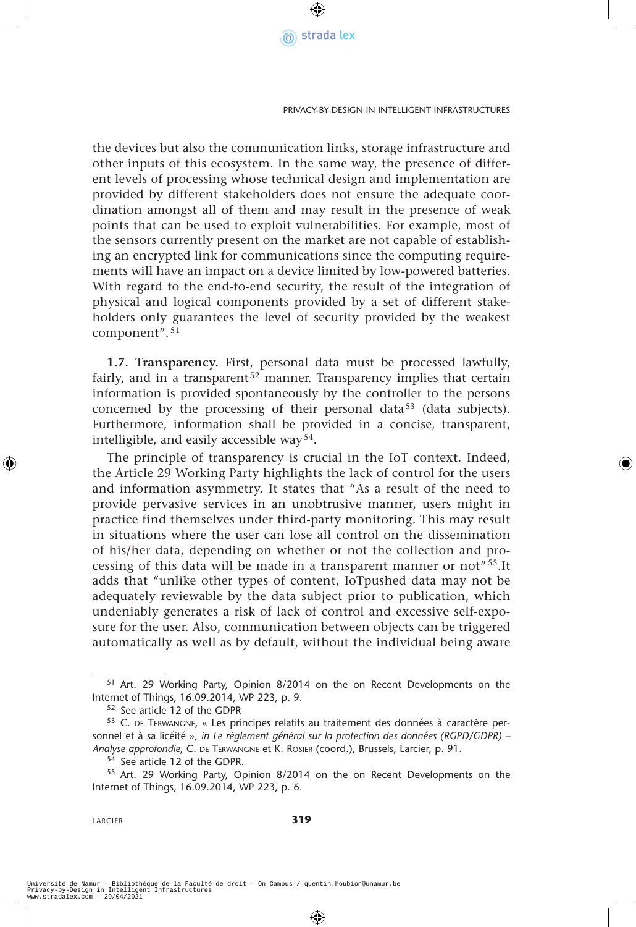

Privacy-by-Design in Intelligent Infrastructures

the devices but also the communication links, storage infrastructure and other inputs of this ecosystem. In the same way, the presence of different levels of processing whose technical design and implementation are provided by different stakeholders does not ensure the adequate coordination amongst all of them and may result in the presence of weak points that can be used to exploit vulnerabilities. For example, most of the sensors currently present on the market are not capable of establishing an encrypted link for communications since the computing requirements will have an impact on a device limited by low-powered batteries. With regard to the end-to-end security, the result of the integration of physical and logical components provided by a set of different stakeholders only guarantees the level of security provided by the weakest component". <sup>51</sup>

**1.7. Transparency.** First, personal data must be processed lawfully, fairly, and in a transparent<sup>52</sup> manner. Transparency implies that certain information is provided spontaneously by the controller to the persons concerned by the processing of their personal data<sup>53</sup> (data subjects). Furthermore, information shall be provided in a concise, transparent, intelligible, and easily accessible way<sup>54</sup>.

The principle of transparency is crucial in the IoT context. Indeed, the Article 29 Working Party highlights the lack of control for the users and information asymmetry. It states that "As a result of the need to provide pervasive services in an unobtrusive manner, users might in practice find themselves under third-party monitoring. This may result in situations where the user can lose all control on the dissemination of his/her data, depending on whether or not the collection and processing of this data will be made in a transparent manner or not" 55.It adds that "unlike other types of content, IoTpushed data may not be adequately reviewable by the data subject prior to publication, which undeniably generates a risk of lack of control and excessive self-exposure for the user. Also, communication between objects can be triggered automatically as well as by default, without the individual being aware

<sup>51</sup> Art. 29 Working Party, Opinion 8/2014 on the on Recent Developments on the Internet of Things, 16.09.2014, WP 223, p. 9.<br><sup>52</sup> See article 12 of the GDPR

<sup>53</sup> C. DE TERWANGNE, « Les principes relatifs au traitement des données à caractère personnel et à sa licéité », in Le règlement général sur la protection des données (RGPD/GDPR) – *Analyse approfondie*, C. de Terwangne et K. Rosier (coord.), Brussels, Larcier, p. 91.

<sup>54</sup> See article 12 of the GDPR.

<sup>55</sup> Art. 29 Working Party, Opinion 8/2014 on the on Recent Developments on the Internet of Things, 16.09.2014, WP 223, p. 6.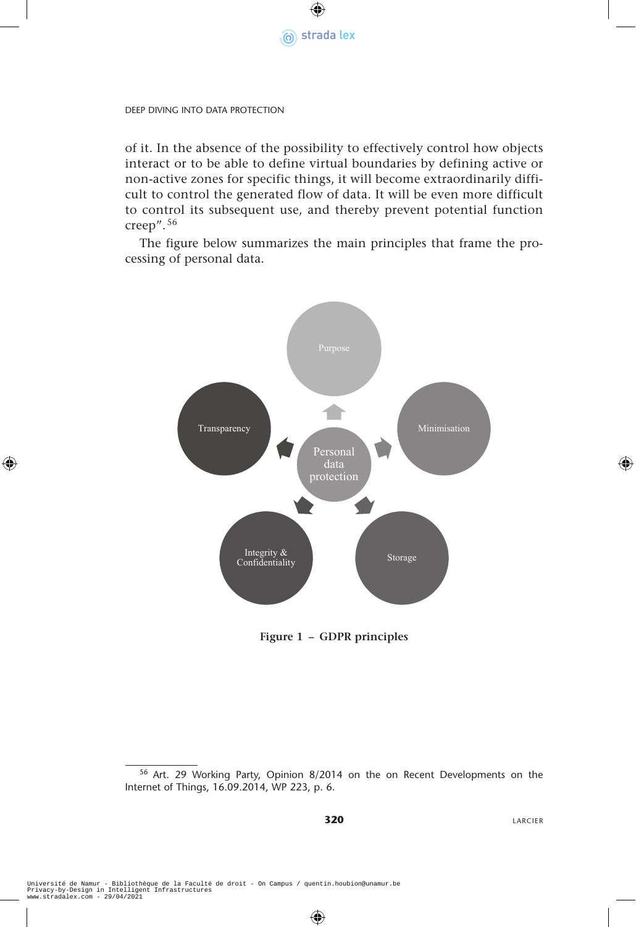

of it. In the absence of the possibility to effectively control how objects interact or to be able to define virtual boundaries by defining active or non-active zones for specific things, it will become extraordinarily difficult to control the generated flow of data. It will be even more difficult to control its subsequent use, and thereby prevent potential function creep". <sup>56</sup>

The figure below summarizes the main principles that frame the processing of personal data.



**Figure 1 – GDPR principles**

<sup>56</sup> Art. 29 Working Party, Opinion 8/2014 on the on Recent Developments on the Internet of Things, 16.09.2014, WP 223, p. 6.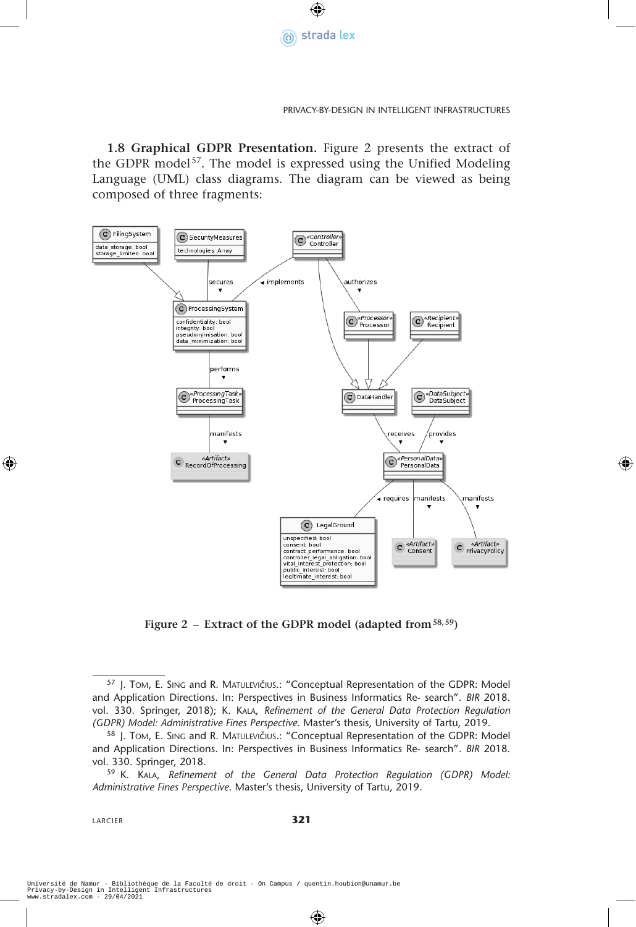

#### Privacy-by-Design in Intelligent Infrastructures

**1.8 Graphical GDPR Presentation.** Figure 2 presents the extract of the GDPR model<sup>57</sup>. The model is expressed using the Unified Modeling Language (UML) class diagrams. The diagram can be viewed as being composed of three fragments:



**Figure 2 – Extract of the GDPR model (adapted from58,59)**

<sup>57</sup> J. Tom, E. SING and R. MATULEVIČIUS.: "Conceptual Representation of the GDPR: Model and Application Directions. In: Perspectives in Business Informatics Re- search". *BIR* 2018. vol. 330. Springer, 2018); K. Kala, *Refinement of the General Data Protection Regulation (GDPR) Model: Administrative Fines Perspective*. Master's thesis, University of Tartu, 2019.

<sup>58</sup> J. Tom, E. SING and R. MATULEVIČIUS.: "Conceptual Representation of the GDPR: Model and Application Directions. In: Perspectives in Business Informatics Re- search". *BIR* 2018. vol. 330. Springer, 2018.

<sup>59</sup> K. Kala, *Refinement of the General Data Protection Regulation (GDPR) Model: Administrative Fines Perspective*. Master's thesis, University of Tartu, 2019.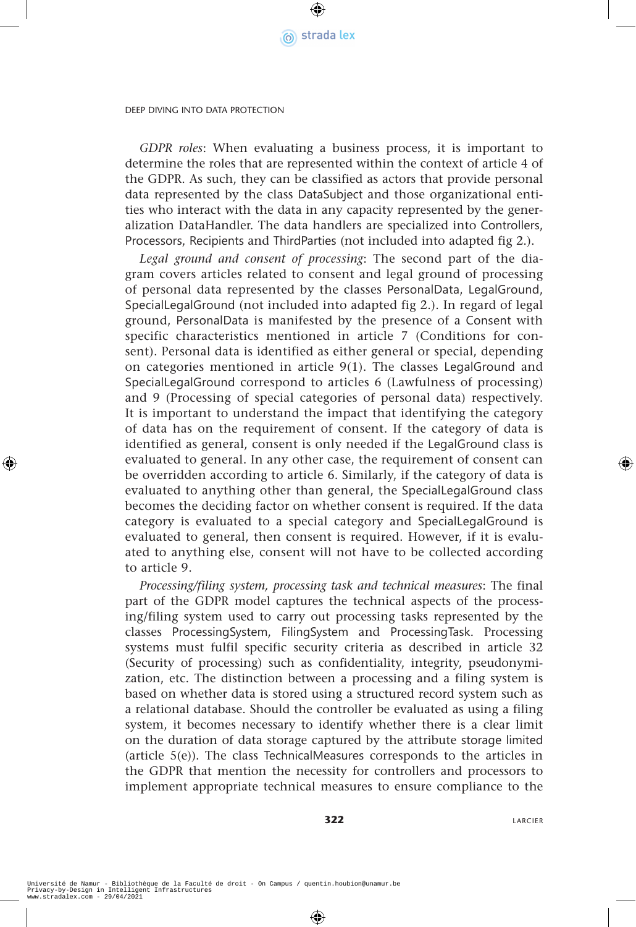

*GDPR roles*: When evaluating a business process, it is important to determine the roles that are represented within the context of article 4 of the GDPR. As such, they can be classified as actors that provide personal data represented by the class DataSubject and those organizational entities who interact with the data in any capacity represented by the generalization DataHandler. The data handlers are specialized into Controllers, Processors, Recipients and ThirdParties (not included into adapted fig 2.).

*Legal ground and consent of processing*: The second part of the diagram covers articles related to consent and legal ground of processing of personal data represented by the classes PersonalData, LegalGround, SpecialLegalGround (not included into adapted fig 2.). In regard of legal ground, PersonalData is manifested by the presence of a Consent with specific characteristics mentioned in article 7 (Conditions for consent). Personal data is identified as either general or special, depending on categories mentioned in article  $9(1)$ . The classes LegalGround and SpecialLegalGround correspond to articles 6 (Lawfulness of processing) and 9 (Processing of special categories of personal data) respectively. It is important to understand the impact that identifying the category of data has on the requirement of consent. If the category of data is identified as general, consent is only needed if the LegalGround class is evaluated to general. In any other case, the requirement of consent can be overridden according to article 6. Similarly, if the category of data is evaluated to anything other than general, the SpecialLegalGround class becomes the deciding factor on whether consent is required. If the data category is evaluated to a special category and SpecialLegalGround is evaluated to general, then consent is required. However, if it is evaluated to anything else, consent will not have to be collected according to article 9.

*Processing/filing system, processing task and technical measures*: The final part of the GDPR model captures the technical aspects of the processing/filing system used to carry out processing tasks represented by the classes ProcessingSystem, FilingSystem and ProcessingTask. Processing systems must fulfil specific security criteria as described in article 32 (Security of processing) such as confidentiality, integrity, pseudonymization, etc. The distinction between a processing and a filing system is based on whether data is stored using a structured record system such as a relational database. Should the controller be evaluated as using a filing system, it becomes necessary to identify whether there is a clear limit on the duration of data storage captured by the attribute storage limited (article 5(e)). The class TechnicalMeasures corresponds to the articles in the GDPR that mention the necessity for controllers and processors to implement appropriate technical measures to ensure compliance to the

**322** LARCIER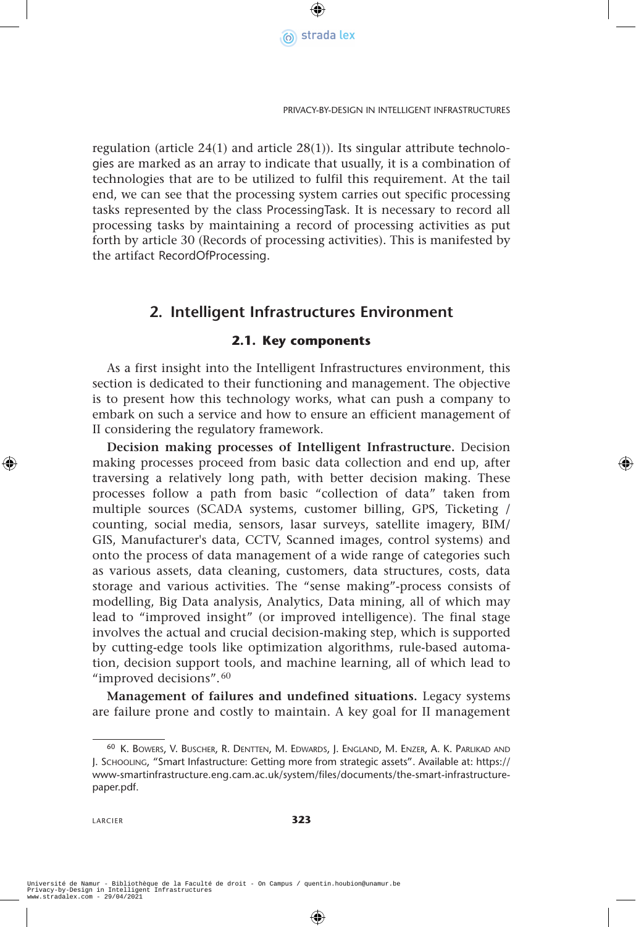

regulation (article 24(1) and article 28(1)). Its singular attribute technologies are marked as an array to indicate that usually, it is a combination of technologies that are to be utilized to fulfil this requirement. At the tail end, we can see that the processing system carries out specific processing tasks represented by the class ProcessingTask. It is necessary to record all processing tasks by maintaining a record of processing activities as put forth by article 30 (Records of processing activities). This is manifested by the artifact RecordOfProcessing.

## **2. Intelligent Infrastructures Environment**

#### **2.1. Key components**

As a first insight into the Intelligent Infrastructures environment, this section is dedicated to their functioning and management. The objective is to present how this technology works, what can push a company to embark on such a service and how to ensure an efficient management of II considering the regulatory framework.

**Decision making processes of Intelligent Infrastructure.** Decision making processes proceed from basic data collection and end up, after traversing a relatively long path, with better decision making. These processes follow a path from basic "collection of data" taken from multiple sources (SCADA systems, customer billing, GPS, Ticketing / counting, social media, sensors, lasar surveys, satellite imagery, BIM/ GIS, Manufacturer's data, CCTV, Scanned images, control systems) and onto the process of data management of a wide range of categories such as various assets, data cleaning, customers, data structures, costs, data storage and various activities. The "sense making"-process consists of modelling, Big Data analysis, Analytics, Data mining, all of which may lead to "improved insight" (or improved intelligence). The final stage involves the actual and crucial decision-making step, which is supported by cutting-edge tools like optimization algorithms, rule-based automation, decision support tools, and machine learning, all of which lead to "improved decisions".<sup>60</sup>

**Management of failures and undefined situations.** Legacy systems are failure prone and costly to maintain. A key goal for II management

<sup>60</sup> K. Bowers, V. Buscher, R. Dentten, M. Edwards, J. England, M. Enzer, A. K. Parlikad and J. Schooling, "Smart Infastructure: Getting more from strategic assets". Available at: https:// www-smartinfrastructure.eng.cam.ac.uk/system/files/documents/the-smart-infrastructurepaper.pdf.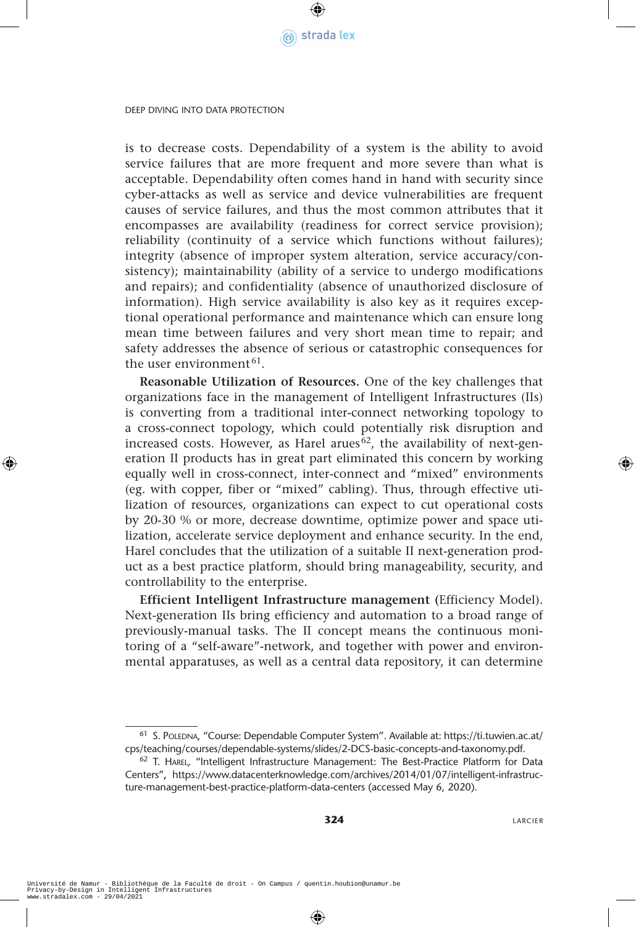

is to decrease costs. Dependability of a system is the ability to avoid service failures that are more frequent and more severe than what is acceptable. Dependability often comes hand in hand with security since cyber-attacks as well as service and device vulnerabilities are frequent causes of service failures, and thus the most common attributes that it encompasses are availability (readiness for correct service provision); reliability (continuity of a service which functions without failures); integrity (absence of improper system alteration, service accuracy/consistency); maintainability (ability of a service to undergo modifications and repairs); and confidentiality (absence of unauthorized disclosure of information). High service availability is also key as it requires exceptional operational performance and maintenance which can ensure long mean time between failures and very short mean time to repair; and safety addresses the absence of serious or catastrophic consequences for the user environment<sup>61</sup>.

**Reasonable Utilization of Resources.** One of the key challenges that organizations face in the management of Intelligent Infrastructures (IIs) is converting from a traditional inter-connect networking topology to a cross-connect topology, which could potentially risk disruption and increased costs. However, as Harel arues<sup>62</sup>, the availability of next-generation II products has in great part eliminated this concern by working equally well in cross-connect, inter-connect and "mixed" environments (eg. with copper, fiber or "mixed" cabling). Thus, through effective utilization of resources, organizations can expect to cut operational costs by 20-30 % or more, decrease downtime, optimize power and space utilization, accelerate service deployment and enhance security. In the end, Harel concludes that the utilization of a suitable II next-generation product as a best practice platform, should bring manageability, security, and controllability to the enterprise.

**Efficient Intelligent Infrastructure management (**Efficiency Model). Next-generation IIs bring efficiency and automation to a broad range of previously-manual tasks. The II concept means the continuous monitoring of a "self-aware"-network, and together with power and environmental apparatuses, as well as a central data repository, it can determine

<sup>61</sup> S. POLEDNA, "Course: Dependable Computer System". Available at: https://ti.tuwien.ac.at/ cps/teaching/courses/dependable-systems/slides/2-DCS-basic-concepts-and-taxonomy.pdf.

<sup>62</sup> T. Harel*,* "Intelligent Infrastructure Management: The Best-Practice Platform for Data Centers"**,** https://www.datacenterknowledge.com/archives/2014/01/07/intelligent-infrastructure-management-best-practice-platform-data-centers (accessed May 6, 2020).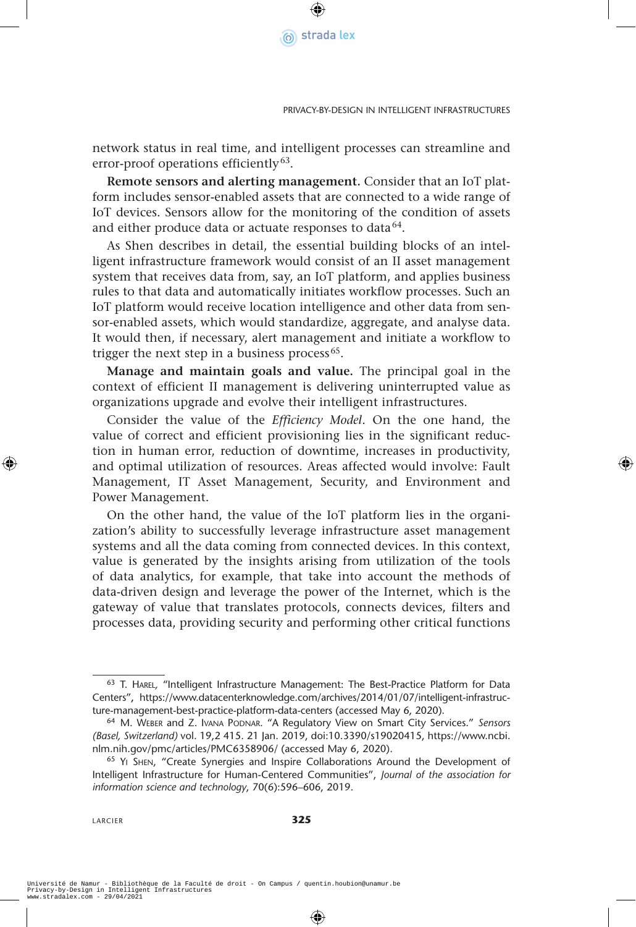

network status in real time, and intelligent processes can streamline and error-proof operations efficiently<sup>63</sup>.

**Remote sensors and alerting management.** Consider that an IoT platform includes sensor-enabled assets that are connected to a wide range of IoT devices. Sensors allow for the monitoring of the condition of assets and either produce data or actuate responses to data $64$ .

As Shen describes in detail, the essential building blocks of an intelligent infrastructure framework would consist of an II asset management system that receives data from, say, an IoT platform, and applies business rules to that data and automatically initiates workflow processes. Such an IoT platform would receive location intelligence and other data from sensor-enabled assets, which would standardize, aggregate, and analyse data. It would then, if necessary, alert management and initiate a workflow to trigger the next step in a business process<sup> $65$ </sup>.

**Manage and maintain goals and value.** The principal goal in the context of efficient II management is delivering uninterrupted value as organizations upgrade and evolve their intelligent infrastructures.

Consider the value of the *Efficiency Model*. On the one hand, the value of correct and efficient provisioning lies in the significant reduction in human error, reduction of downtime, increases in productivity, and optimal utilization of resources. Areas affected would involve: Fault Management, IT Asset Management, Security, and Environment and Power Management.

On the other hand, the value of the IoT platform lies in the organization's ability to successfully leverage infrastructure asset management systems and all the data coming from connected devices. In this context, value is generated by the insights arising from utilization of the tools of data analytics, for example, that take into account the methods of data-driven design and leverage the power of the Internet, which is the gateway of value that translates protocols, connects devices, filters and processes data, providing security and performing other critical functions

<sup>63</sup> T. Harel*,* "Intelligent Infrastructure Management: The Best-Practice Platform for Data Centers"**,** https://www.datacenterknowledge.com/archives/2014/01/07/intelligent-infrastructure-management-best-practice-platform-data-centers (accessed May 6, 2020).

<sup>64</sup> M. Weber and Z. Ivana Podnar. "A Regulatory View on Smart City Services." *Sensors (Basel, Switzerland)* vol. 19,2 415. 21 Jan. 2019, doi:10.3390/s19020415, https://www.ncbi. nlm.nih.gov/pmc/articles/PMC6358906/ (accessed May 6, 2020).

<sup>65</sup> Yi Shen, "Create Synergies and Inspire Collaborations Around the Development of Intelligent Infrastructure for Human-Centered Communities", *Journal of the association for information science and technology*, 70(6):596–606, 2019.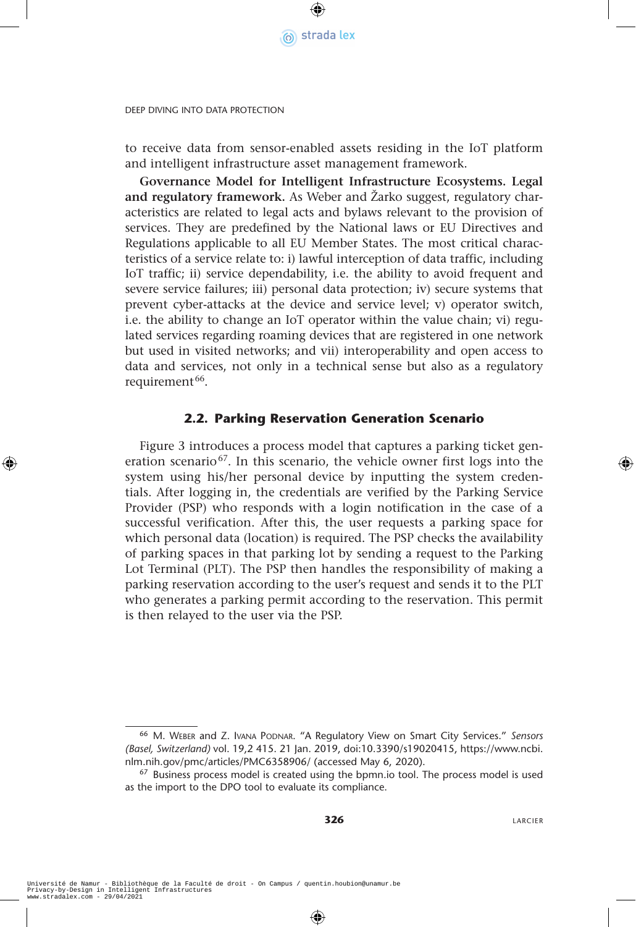

to receive data from sensor-enabled assets residing in the IoT platform and intelligent infrastructure asset management framework.

**Governance Model for Intelligent Infrastructure Ecosystems. Legal and regulatory framework.** As Weber and Žarko suggest, regulatory characteristics are related to legal acts and bylaws relevant to the provision of services. They are predefined by the National laws or EU Directives and Regulations applicable to all EU Member States. The most critical characteristics of a service relate to: i) lawful interception of data traffic, including IoT traffic; ii) service dependability, i.e. the ability to avoid frequent and severe service failures; iii) personal data protection; iv) secure systems that prevent cyber-attacks at the device and service level; v) operator switch, i.e. the ability to change an IoT operator within the value chain; vi) regulated services regarding roaming devices that are registered in one network but used in visited networks; and vii) interoperability and open access to data and services, not only in a technical sense but also as a regulatory requirement<sup>66</sup>.

#### **2.2. Parking Reservation Generation Scenario**

Figure 3 introduces a process model that captures a parking ticket generation scenario<sup>67</sup>. In this scenario, the vehicle owner first logs into the system using his/her personal device by inputting the system credentials. After logging in, the credentials are verified by the Parking Service Provider (PSP) who responds with a login notification in the case of a successful verification. After this, the user requests a parking space for which personal data (location) is required. The PSP checks the availability of parking spaces in that parking lot by sending a request to the Parking Lot Terminal (PLT). The PSP then handles the responsibility of making a parking reservation according to the user's request and sends it to the PLT who generates a parking permit according to the reservation. This permit is then relayed to the user via the PSP.

<sup>66</sup> M. Weber and Z. Ivana Podnar. "A Regulatory View on Smart City Services." *Sensors (Basel, Switzerland)* vol. 19,2 415. 21 Jan. 2019, doi:10.3390/s19020415, https://www.ncbi. nlm.nih.gov/pmc/articles/PMC6358906/ (accessed May 6, 2020).

<sup>&</sup>lt;sup>67</sup> Business process model is created using the bpmn.io tool. The process model is used as the import to the DPO tool to evaluate its compliance.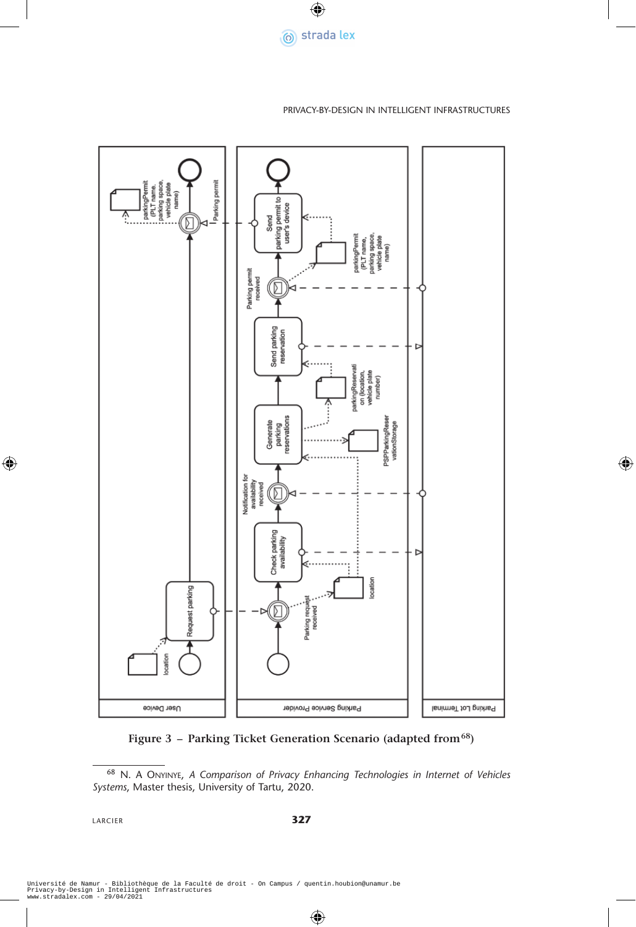

#### Privacy-by-Design in Intelligent Infrastructures



**Figure 3 – Parking Ticket Generation Scenario (adapted from68)**

LARCIER **327**

<sup>68</sup> N. A Onyinye, *A Comparison of Privacy Enhancing Technologies in Internet of Vehicles Systems*, Master thesis, University of Tartu, 2020.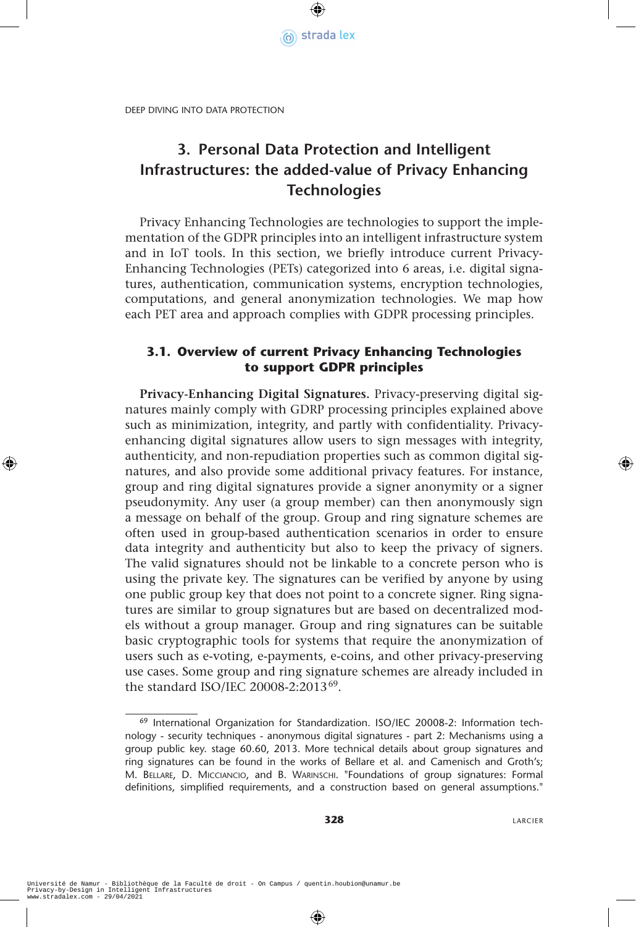

# **3. Personal Data Protection and Intelligent Infrastructures: the added-value of Privacy Enhancing Technologies**

Privacy Enhancing Technologies are technologies to support the implementation of the GDPR principles into an intelligent infrastructure system and in IoT tools. In this section, we briefly introduce current Privacy-Enhancing Technologies (PETs) categorized into 6 areas, i.e. digital signatures, authentication, communication systems, encryption technologies, computations, and general anonymization technologies. We map how each PET area and approach complies with GDPR processing principles.

### **3.1. Overview of current Privacy Enhancing Technologies to support GDPR principles**

**Privacy-Enhancing Digital Signatures.** Privacy-preserving digital signatures mainly comply with GDRP processing principles explained above such as minimization, integrity, and partly with confidentiality. Privacyenhancing digital signatures allow users to sign messages with integrity, authenticity, and non-repudiation properties such as common digital signatures, and also provide some additional privacy features. For instance, group and ring digital signatures provide a signer anonymity or a signer pseudonymity. Any user (a group member) can then anonymously sign a message on behalf of the group. Group and ring signature schemes are often used in group-based authentication scenarios in order to ensure data integrity and authenticity but also to keep the privacy of signers. The valid signatures should not be linkable to a concrete person who is using the private key. The signatures can be verified by anyone by using one public group key that does not point to a concrete signer. Ring signatures are similar to group signatures but are based on decentralized models without a group manager. Group and ring signatures can be suitable basic cryptographic tools for systems that require the anonymization of users such as e-voting, e-payments, e-coins, and other privacy-preserving use cases. Some group and ring signature schemes are already included in the standard ISO/IEC 20008-2:201369.

<sup>69</sup> International Organization for Standardization. ISO/IEC 20008-2: Information technology - security techniques - anonymous digital signatures - part 2: Mechanisms using a group public key. stage 60.60, 2013. More technical details about group signatures and ring signatures can be found in the works of Bellare et al. and Camenisch and Groth's; M. Bellare, D. Micciancio, and B. Warinschi. "Foundations of group signatures: Formal definitions, simplified requirements, and a construction based on general assumptions."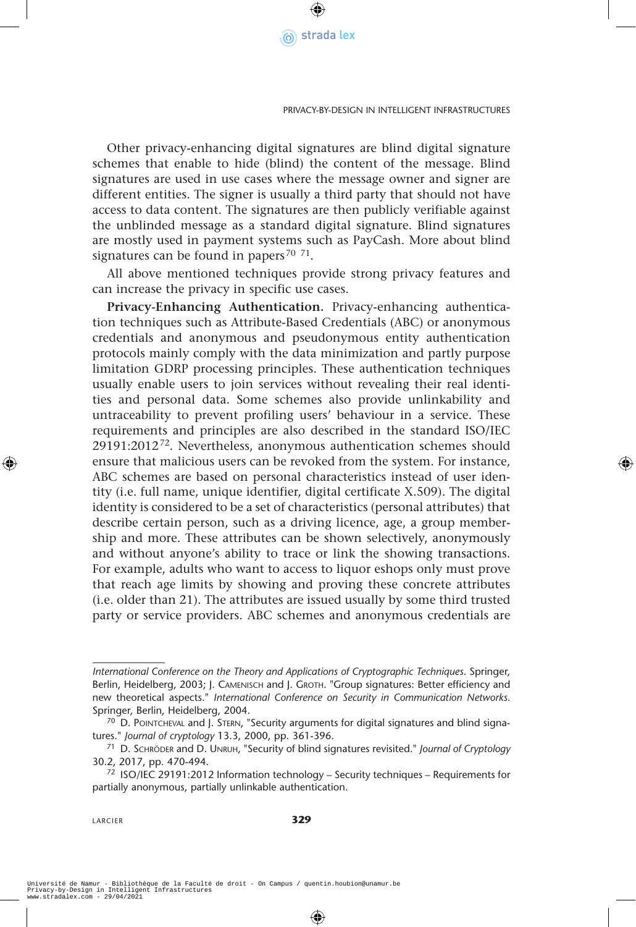

Other privacy-enhancing digital signatures are blind digital signature schemes that enable to hide (blind) the content of the message. Blind signatures are used in use cases where the message owner and signer are different entities. The signer is usually a third party that should not have access to data content. The signatures are then publicly verifiable against the unblinded message as a standard digital signature. Blind signatures are mostly used in payment systems such as PayCash. More about blind signatures can be found in papers<sup>70 71</sup>.

All above mentioned techniques provide strong privacy features and can increase the privacy in specific use cases.

**Privacy-Enhancing Authentication.** Privacy-enhancing authentication techniques such as Attribute-Based Credentials (ABC) or anonymous credentials and anonymous and pseudonymous entity authentication protocols mainly comply with the data minimization and partly purpose limitation GDRP processing principles. These authentication techniques usually enable users to join services without revealing their real identities and personal data. Some schemes also provide unlinkability and untraceability to prevent profiling users' behaviour in a service. These requirements and principles are also described in the standard ISO/IEC 29191:201272. Nevertheless, anonymous authentication schemes should ensure that malicious users can be revoked from the system. For instance, ABC schemes are based on personal characteristics instead of user identity (i.e. full name, unique identifier, digital certificate X.509). The digital identity is considered to be a set of characteristics (personal attributes) that describe certain person, such as a driving licence, age, a group membership and more. These attributes can be shown selectively, anonymously and without anyone's ability to trace or link the showing transactions. For example, adults who want to access to liquor eshops only must prove that reach age limits by showing and proving these concrete attributes (i.e. older than 21). The attributes are issued usually by some third trusted party or service providers. ABC schemes and anonymous credentials are

*International Conference on the Theory and Applications of Cryptographic Techniques*. Springer, Berlin, Heidelberg, 2003; J. CAMENISCH and J. GROTH. "Group signatures: Better efficiency and new theoretical aspects." *International Conference on Security in Communication Networks*. Springer, Berlin, Heidelberg, 2004.

<sup>&</sup>lt;sup>70</sup> D. POINTCHEVAL and J. STERN, "Security arguments for digital signatures and blind signatures." *Journal of cryptology* 13.3, 2000, pp. 361-396.

<sup>71</sup> D. Schröder and D. Unruh, "Security of blind signatures revisited." *Journal of Cryptology* 30.2, 2017, pp. 470-494.

<sup>72</sup> ISO/IEC 29191:2012 Information technology – Security techniques – Requirements for partially anonymous, partially unlinkable authentication.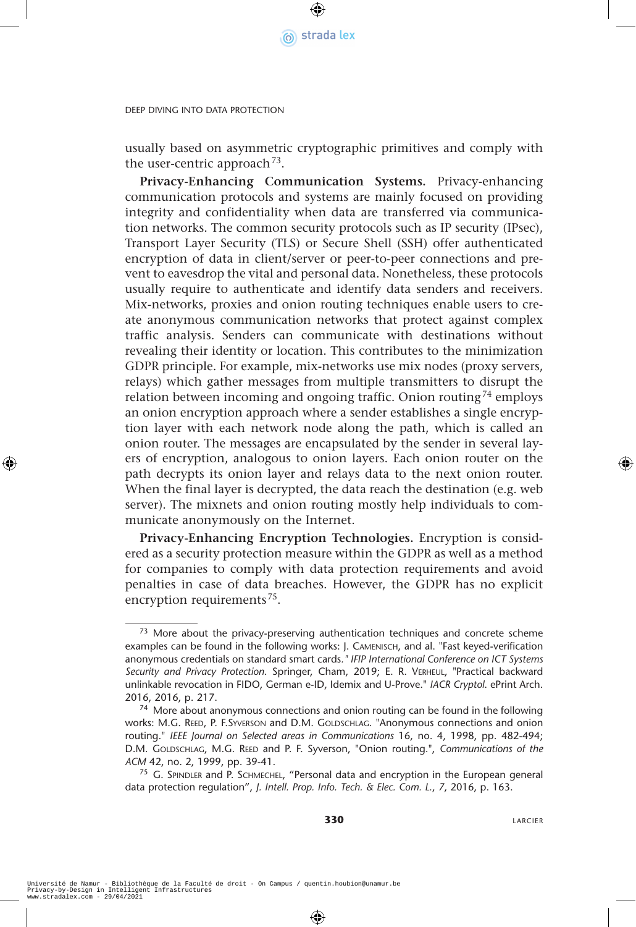

usually based on asymmetric cryptographic primitives and comply with the user-centric approach<sup>73</sup>.

**Privacy-Enhancing Communication Systems.** Privacy-enhancing communication protocols and systems are mainly focused on providing integrity and confidentiality when data are transferred via communication networks. The common security protocols such as IP security (IPsec), Transport Layer Security (TLS) or Secure Shell (SSH) offer authenticated encryption of data in client/server or peer-to-peer connections and prevent to eavesdrop the vital and personal data. Nonetheless, these protocols usually require to authenticate and identify data senders and receivers. Mix-networks, proxies and onion routing techniques enable users to create anonymous communication networks that protect against complex traffic analysis. Senders can communicate with destinations without revealing their identity or location. This contributes to the minimization GDPR principle. For example, mix-networks use mix nodes (proxy servers, relays) which gather messages from multiple transmitters to disrupt the relation between incoming and ongoing traffic. Onion routing<sup>74</sup> employs an onion encryption approach where a sender establishes a single encryption layer with each network node along the path, which is called an onion router. The messages are encapsulated by the sender in several layers of encryption, analogous to onion layers. Each onion router on the path decrypts its onion layer and relays data to the next onion router. When the final layer is decrypted, the data reach the destination (e.g. web server). The mixnets and onion routing mostly help individuals to communicate anonymously on the Internet.

**Privacy-Enhancing Encryption Technologies.** Encryption is considered as a security protection measure within the GDPR as well as a method for companies to comply with data protection requirements and avoid penalties in case of data breaches. However, the GDPR has no explicit encryption requirements<sup>75</sup>.

 $73$  More about the privacy-preserving authentication techniques and concrete scheme examples can be found in the following works: J. Camenisch, and al. "Fast keyed-verification anonymous credentials on standard smart cards*." IFIP International Conference on ICT Systems Security and Privacy Protection*. Springer, Cham, 2019; E. R. Verheul, "Practical backward unlinkable revocation in FIDO, German e-ID, Idemix and U-Prove." *IACR Cryptol*. ePrint Arch. 2016, 2016, p. 217.

<sup>&</sup>lt;sup>74</sup> More about anonymous connections and onion routing can be found in the following WORKS: M.G. REED, P. F.SYVERSON and D.M. GOLDSCHLAG. "Anonymous connections and onion routing." *IEEE Journal on Selected areas in Communications* 16, no. 4, 1998, pp. 482-494; D.M. GOLDSCHLAG, M.G. REED and P. F. Syverson, "Onion routing.", *Communications of the ACM* 42, no. 2, 1999, pp. 39-41.

<sup>75</sup> G. SPINDLER and P. SCHMECHEL, "Personal data and encryption in the European general data protection regulation", *J. Intell. Prop. Info. Tech. & Elec. Com. L.*, *7*, 2016, p. 163.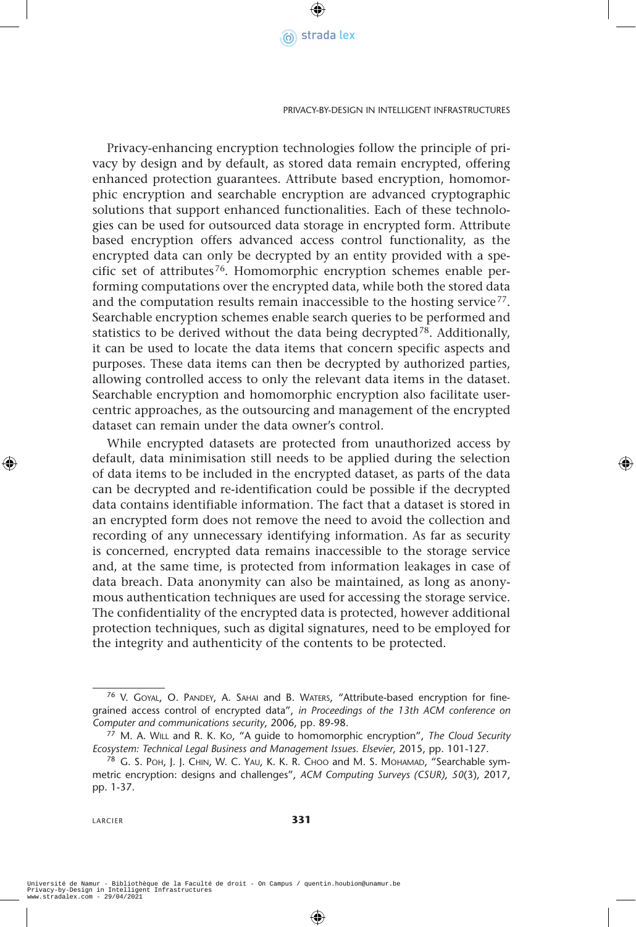

Privacy-enhancing encryption technologies follow the principle of privacy by design and by default, as stored data remain encrypted, offering enhanced protection guarantees. Attribute based encryption, homomorphic encryption and searchable encryption are advanced cryptographic solutions that support enhanced functionalities. Each of these technologies can be used for outsourced data storage in encrypted form. Attribute based encryption offers advanced access control functionality, as the encrypted data can only be decrypted by an entity provided with a specific set of attributes<sup>76</sup>. Homomorphic encryption schemes enable performing computations over the encrypted data, while both the stored data and the computation results remain inaccessible to the hosting service<sup>77</sup>. Searchable encryption schemes enable search queries to be performed and statistics to be derived without the data being decrypted<sup>78</sup>. Additionally, it can be used to locate the data items that concern specific aspects and purposes. These data items can then be decrypted by authorized parties, allowing controlled access to only the relevant data items in the dataset. Searchable encryption and homomorphic encryption also facilitate usercentric approaches, as the outsourcing and management of the encrypted dataset can remain under the data owner's control.

While encrypted datasets are protected from unauthorized access by default, data minimisation still needs to be applied during the selection of data items to be included in the encrypted dataset, as parts of the data can be decrypted and re-identification could be possible if the decrypted data contains identifiable information. The fact that a dataset is stored in an encrypted form does not remove the need to avoid the collection and recording of any unnecessary identifying information. As far as security is concerned, encrypted data remains inaccessible to the storage service and, at the same time, is protected from information leakages in case of data breach. Data anonymity can also be maintained, as long as anonymous authentication techniques are used for accessing the storage service. The confidentiality of the encrypted data is protected, however additional protection techniques, such as digital signatures, need to be employed for the integrity and authenticity of the contents to be protected.

<sup>&</sup>lt;sup>76</sup> V. GOYAL, O. PANDEY, A. SAHAI and B. WATERS, "Attribute-based encryption for finegrained access control of encrypted data", *in Proceedings of the 13th ACM conference on Computer and communications security*, 2006, pp. 89-98.

<sup>77</sup> M. A. Will and R. K. Ko, "A guide to homomorphic encryption", *The Cloud Security Ecosystem: Technical Legal Business and Management Issues. Elsevier*, 2015, pp. 101-127.

<sup>&</sup>lt;sup>78</sup> G. S. POH, J. J. CHIN, W. C. YAU, K. K. R. CHOO and M. S. MOHAMAD, "Searchable symmetric encryption: designs and challenges", *ACM Computing Surveys (CSUR)*, *50*(3), 2017, pp. 1-37.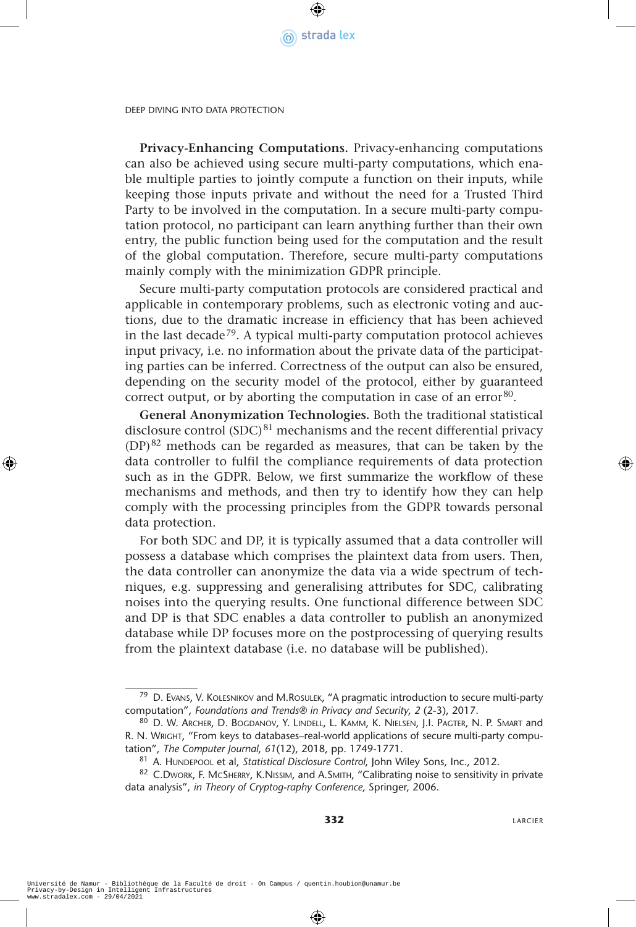

**Privacy-Enhancing Computations.** Privacy-enhancing computations can also be achieved using secure multi-party computations, which enable multiple parties to jointly compute a function on their inputs, while keeping those inputs private and without the need for a Trusted Third Party to be involved in the computation. In a secure multi-party computation protocol, no participant can learn anything further than their own entry, the public function being used for the computation and the result of the global computation. Therefore, secure multi-party computations mainly comply with the minimization GDPR principle.

Secure multi-party computation protocols are considered practical and applicable in contemporary problems, such as electronic voting and auctions, due to the dramatic increase in efficiency that has been achieved in the last decade<sup>79</sup>. A typical multi-party computation protocol achieves input privacy, i.e. no information about the private data of the participating parties can be inferred. Correctness of the output can also be ensured, depending on the security model of the protocol, either by guaranteed correct output, or by aborting the computation in case of an error  $80$ .

**General Anonymization Technologies.** Both the traditional statistical disclosure control  $(SDC)^{81}$  mechanisms and the recent differential privacy (DP)82 methods can be regarded as measures, that can be taken by the data controller to fulfil the compliance requirements of data protection such as in the GDPR. Below, we first summarize the workflow of these mechanisms and methods, and then try to identify how they can help comply with the processing principles from the GDPR towards personal data protection.

For both SDC and DP, it is typically assumed that a data controller will possess a database which comprises the plaintext data from users. Then, the data controller can anonymize the data via a wide spectrum of techniques, e.g. suppressing and generalising attributes for SDC, calibrating noises into the querying results. One functional difference between SDC and DP is that SDC enables a data controller to publish an anonymized database while DP focuses more on the postprocessing of querying results from the plaintext database (i.e. no database will be published).

<sup>&</sup>lt;sup>79</sup> D. Evans, V. KOLESNIKOV and M.ROSULEK, "A pragmatic introduction to secure multi-party computation", *Foundations and Trends® in Privacy and Security*, *2* (2-3), 2017.

<sup>80</sup> D. W. Archer, D. BOGDANOV, Y. LINDELL, L. KAMM, K. NIELSEN, J.I. PAGTER, N. P. SMART and R. N. WRIGHT, "From keys to databases-real-world applications of secure multi-party computation", *The Computer Journal*, *61*(12), 2018, pp. 1749-1771.

<sup>81</sup> A. HUNDEPOOL et al, Statistical Disclosure Control, John Wiley Sons, Inc., 2012.

<sup>82</sup> C.Dwork, F. McSHERRY, K.NISSIM, and A.SMITH, "Calibrating noise to sensitivity in private data analysis", *in Theory of Cryptog-raphy Conference*, Springer, 2006.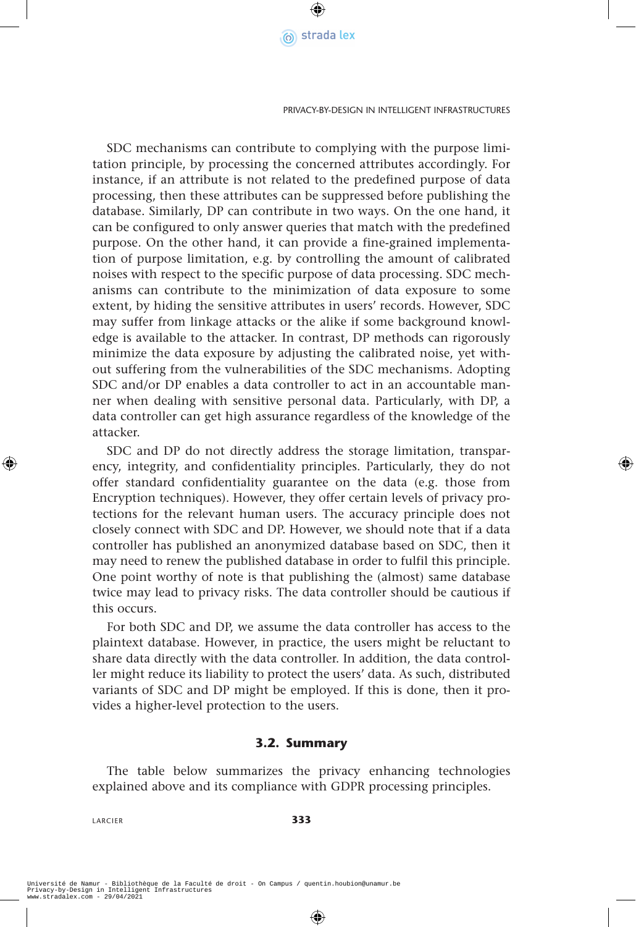

Privacy-by-Design in Intelligent Infrastructures

SDC mechanisms can contribute to complying with the purpose limitation principle, by processing the concerned attributes accordingly. For instance, if an attribute is not related to the predefined purpose of data processing, then these attributes can be suppressed before publishing the database. Similarly, DP can contribute in two ways. On the one hand, it can be configured to only answer queries that match with the predefined purpose. On the other hand, it can provide a fine-grained implementation of purpose limitation, e.g. by controlling the amount of calibrated noises with respect to the specific purpose of data processing. SDC mechanisms can contribute to the minimization of data exposure to some extent, by hiding the sensitive attributes in users' records. However, SDC may suffer from linkage attacks or the alike if some background knowledge is available to the attacker. In contrast, DP methods can rigorously minimize the data exposure by adjusting the calibrated noise, yet without suffering from the vulnerabilities of the SDC mechanisms. Adopting SDC and/or DP enables a data controller to act in an accountable manner when dealing with sensitive personal data. Particularly, with DP, a data controller can get high assurance regardless of the knowledge of the attacker.

SDC and DP do not directly address the storage limitation, transparency, integrity, and confidentiality principles. Particularly, they do not offer standard confidentiality guarantee on the data (e.g. those from Encryption techniques). However, they offer certain levels of privacy protections for the relevant human users. The accuracy principle does not closely connect with SDC and DP. However, we should note that if a data controller has published an anonymized database based on SDC, then it may need to renew the published database in order to fulfil this principle. One point worthy of note is that publishing the (almost) same database twice may lead to privacy risks. The data controller should be cautious if this occurs.

For both SDC and DP, we assume the data controller has access to the plaintext database. However, in practice, the users might be reluctant to share data directly with the data controller. In addition, the data controller might reduce its liability to protect the users' data. As such, distributed variants of SDC and DP might be employed. If this is done, then it provides a higher-level protection to the users.

#### **3.2. Summary**

The table below summarizes the privacy enhancing technologies explained above and its compliance with GDPR processing principles.

LARCIER **333**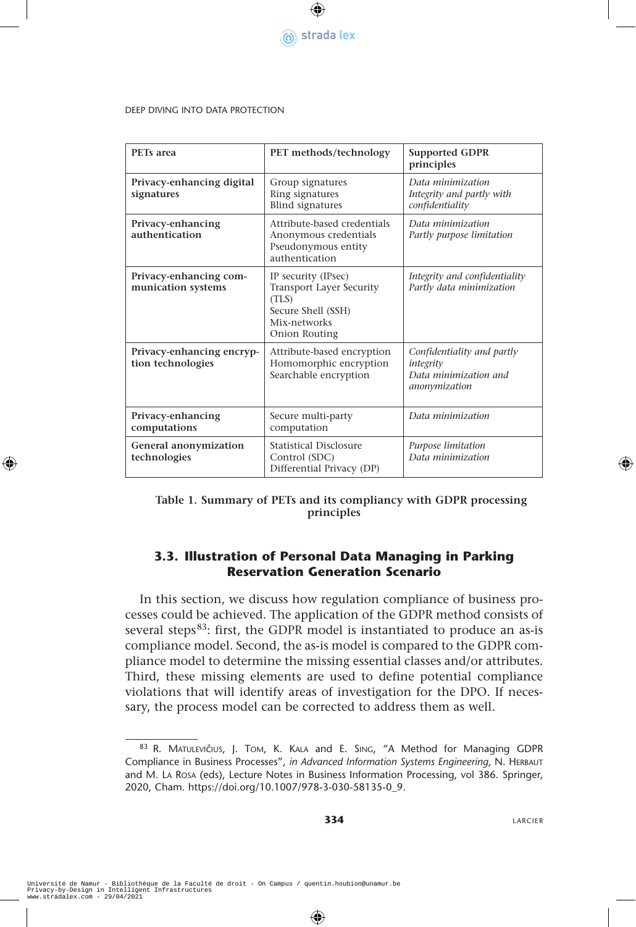

| PET <sub>s</sub> area                          | PET methods/technology                                                                                          | <b>Supported GDPR</b><br>principles                                               |
|------------------------------------------------|-----------------------------------------------------------------------------------------------------------------|-----------------------------------------------------------------------------------|
| Privacy-enhancing digital<br>signatures        | Group signatures<br>Ring signatures<br><b>Blind signatures</b>                                                  | Data minimization<br>Integrity and partly with<br>confidentiality                 |
| Privacy-enhancing<br>authentication            | Attribute-based credentials<br>Anonymous credentials<br>Pseudonymous entity<br>authentication                   | Data minimization<br>Partly purpose limitation                                    |
| Privacy-enhancing com-<br>munication systems   | IP security (IPsec)<br>Transport Layer Security<br>(TLS)<br>Secure Shell (SSH)<br>Mix-networks<br>Onion Routing | Integrity and confidentiality<br>Partly data minimization                         |
| Privacy-enhancing encryp-<br>tion technologies | Attribute-based encryption<br>Homomorphic encryption<br>Searchable encryption                                   | Confidentiality and partly<br>integrity<br>Data minimization and<br>anonymization |
| Privacy-enhancing<br>computations              | Secure multi-party<br>computation                                                                               | Data minimization                                                                 |
| General anonymization<br>technologies          | <b>Statistical Disclosure</b><br>Control (SDC)<br>Differential Privacy (DP)                                     | Purpose limitation<br>Data minimization                                           |

#### **Table 1. Summary of PETs and its compliancy with GDPR processing principles**

#### **3.3. Illustration of Personal Data Managing in Parking Reservation Generation Scenario**

In this section, we discuss how regulation compliance of business processes could be achieved. The application of the GDPR method consists of several steps<sup>83</sup>: first, the GDPR model is instantiated to produce an as-is compliance model. Second, the as-is model is compared to the GDPR compliance model to determine the missing essential classes and/or attributes. Third, these missing elements are used to define potential compliance violations that will identify areas of investigation for the DPO. If necessary, the process model can be corrected to address them as well.

<sup>83</sup> R. MATULEVIČIUS, J. TOM, K. KALA and E. SING, "A Method for Managing GDPR Compliance in Business Processes", *in Advanced Information Systems Engineering*, N. HERBAUT and M. La Rosa (eds), Lecture Notes in Business Information Processing, vol 386. Springer, 2020, Cham. https://doi.org/10.1007/978-3-030-58135-0\_9.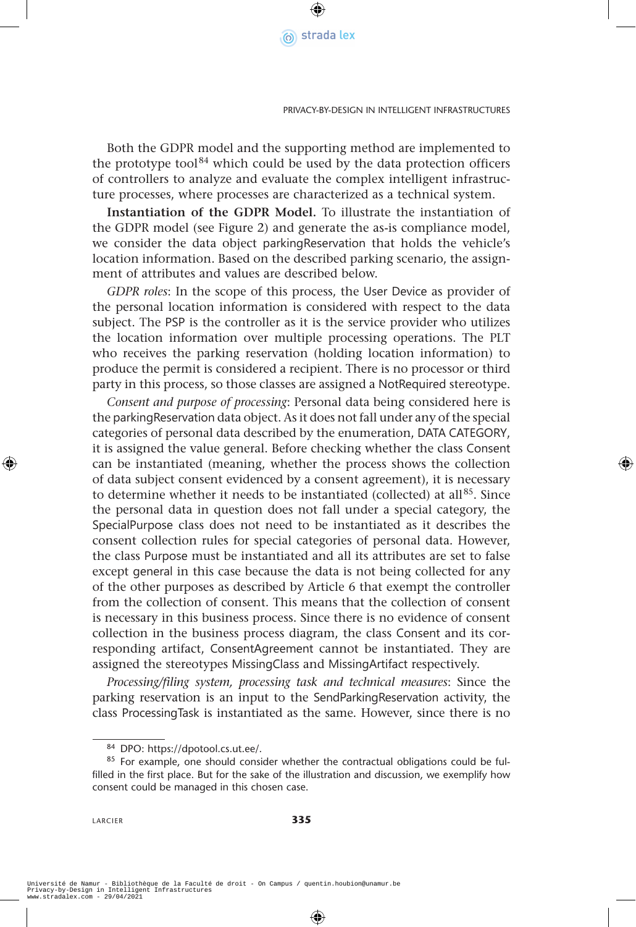

Both the GDPR model and the supporting method are implemented to the prototype tool $84$  which could be used by the data protection officers of controllers to analyze and evaluate the complex intelligent infrastructure processes, where processes are characterized as a technical system.

**Instantiation of the GDPR Model.** To illustrate the instantiation of the GDPR model (see Figure 2) and generate the as-is compliance model, we consider the data object parkingReservation that holds the vehicle's location information. Based on the described parking scenario, the assignment of attributes and values are described below.

*GDPR roles*: In the scope of this process, the User Device as provider of the personal location information is considered with respect to the data subject. The PSP is the controller as it is the service provider who utilizes the location information over multiple processing operations. The PLT who receives the parking reservation (holding location information) to produce the permit is considered a recipient. There is no processor or third party in this process, so those classes are assigned a NotRequired stereotype.

*Consent and purpose of processing*: Personal data being considered here is the parkingReservation data object. As it does not fall under any of the special categories of personal data described by the enumeration, DATA CATEGORY, it is assigned the value general. Before checking whether the class Consent can be instantiated (meaning, whether the process shows the collection of data subject consent evidenced by a consent agreement), it is necessary to determine whether it needs to be instantiated (collected) at all<sup>85</sup>. Since the personal data in question does not fall under a special category, the SpecialPurpose class does not need to be instantiated as it describes the consent collection rules for special categories of personal data. However, the class Purpose must be instantiated and all its attributes are set to false except general in this case because the data is not being collected for any of the other purposes as described by Article 6 that exempt the controller from the collection of consent. This means that the collection of consent is necessary in this business process. Since there is no evidence of consent collection in the business process diagram, the class Consent and its corresponding artifact, ConsentAgreement cannot be instantiated. They are assigned the stereotypes MissingClass and MissingArtifact respectively.

*Processing/filing system, processing task and technical measures*: Since the parking reservation is an input to the SendParkingReservation activity, the class ProcessingTask is instantiated as the same. However, since there is no

 $84$  DPO: https://dpotool.cs.ut.ee/.<br> $85$  For example, one should consider whether the contractual obligations could be fulfilled in the first place. But for the sake of the illustration and discussion, we exemplify how consent could be managed in this chosen case.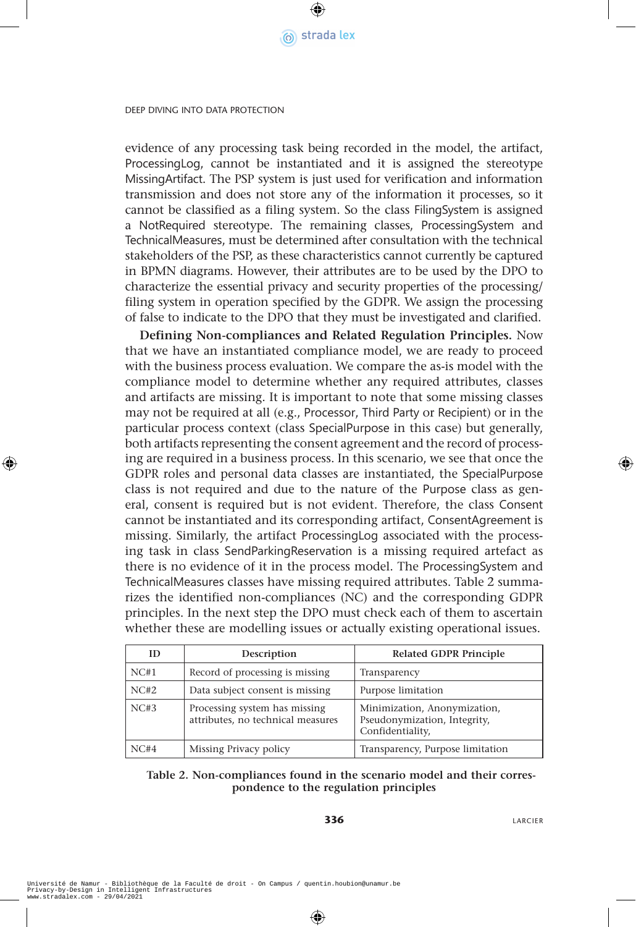

evidence of any processing task being recorded in the model, the artifact, ProcessingLog, cannot be instantiated and it is assigned the stereotype MissingArtifact. The PSP system is just used for verification and information transmission and does not store any of the information it processes, so it cannot be classified as a filing system. So the class FilingSystem is assigned a NotRequired stereotype. The remaining classes, ProcessingSystem and TechnicalMeasures, must be determined after consultation with the technical stakeholders of the PSP, as these characteristics cannot currently be captured in BPMN diagrams. However, their attributes are to be used by the DPO to characterize the essential privacy and security properties of the processing/ filing system in operation specified by the GDPR. We assign the processing of false to indicate to the DPO that they must be investigated and clarified.

**Defining Non-compliances and Related Regulation Principles.** Now that we have an instantiated compliance model, we are ready to proceed with the business process evaluation. We compare the as-is model with the compliance model to determine whether any required attributes, classes and artifacts are missing. It is important to note that some missing classes may not be required at all (e.g., Processor, Third Party or Recipient) or in the particular process context (class SpecialPurpose in this case) but generally, both artifacts representing the consent agreement and the record of processing are required in a business process. In this scenario, we see that once the GDPR roles and personal data classes are instantiated, the SpecialPurpose class is not required and due to the nature of the Purpose class as general, consent is required but is not evident. Therefore, the class Consent cannot be instantiated and its corresponding artifact, ConsentAgreement is missing. Similarly, the artifact ProcessingLog associated with the processing task in class SendParkingReservation is a missing required artefact as there is no evidence of it in the process model. The ProcessingSystem and TechnicalMeasures classes have missing required attributes. Table 2 summarizes the identified non-compliances (NC) and the corresponding GDPR principles. In the next step the DPO must check each of them to ascertain whether these are modelling issues or actually existing operational issues.

| ID   | Description                                                        | <b>Related GDPR Principle</b>                                                    |
|------|--------------------------------------------------------------------|----------------------------------------------------------------------------------|
| NC#1 | Record of processing is missing.                                   | Transparency                                                                     |
| NC#2 | Data subject consent is missing                                    | Purpose limitation                                                               |
| NC#3 | Processing system has missing<br>attributes, no technical measures | Minimization, Anonymization,<br>Pseudonymization, Integrity,<br>Confidentiality, |
| NC#4 | Missing Privacy policy                                             | Transparency, Purpose limitation                                                 |

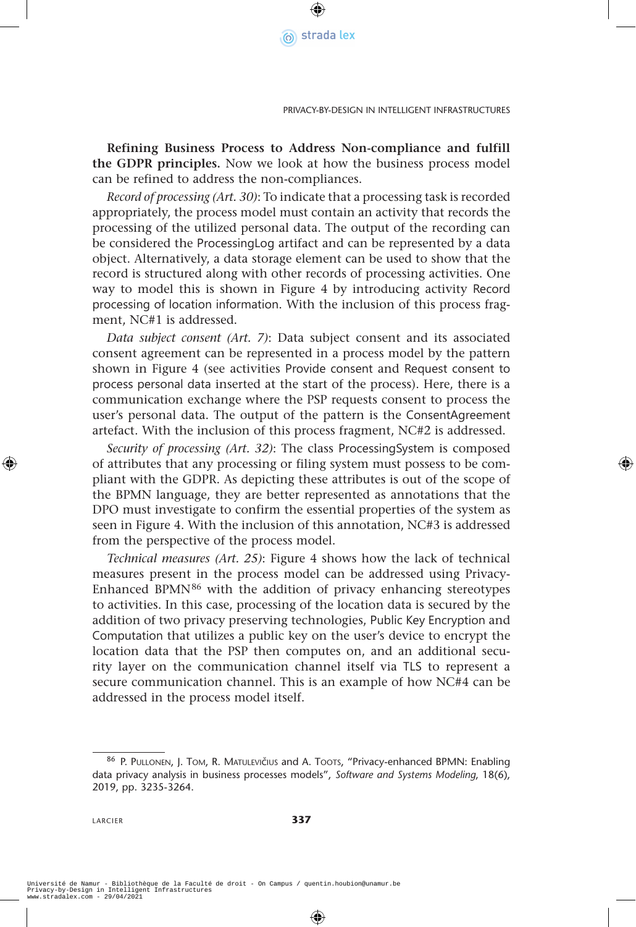

Privacy-by-Design in Intelligent Infrastructures

**Refining Business Process to Address Non-compliance and fulfill the GDPR principles.** Now we look at how the business process model can be refined to address the non-compliances.

*Record of processing (Art. 30)*: To indicate that a processing task is recorded appropriately, the process model must contain an activity that records the processing of the utilized personal data. The output of the recording can be considered the ProcessingLog artifact and can be represented by a data object. Alternatively, a data storage element can be used to show that the record is structured along with other records of processing activities. One way to model this is shown in Figure 4 by introducing activity Record processing of location information. With the inclusion of this process fragment, NC#1 is addressed.

*Data subject consent (Art. 7)*: Data subject consent and its associated consent agreement can be represented in a process model by the pattern shown in Figure 4 (see activities Provide consent and Request consent to process personal data inserted at the start of the process). Here, there is a communication exchange where the PSP requests consent to process the user's personal data. The output of the pattern is the ConsentAgreement artefact. With the inclusion of this process fragment, NC#2 is addressed.

*Security of processing (Art. 32)*: The class ProcessingSystem is composed of attributes that any processing or filing system must possess to be compliant with the GDPR. As depicting these attributes is out of the scope of the BPMN language, they are better represented as annotations that the DPO must investigate to confirm the essential properties of the system as seen in Figure 4. With the inclusion of this annotation, NC#3 is addressed from the perspective of the process model.

*Technical measures (Art. 25)*: Figure 4 shows how the lack of technical measures present in the process model can be addressed using Privacy-Enhanced BPM $N^{86}$  with the addition of privacy enhancing stereotypes to activities. In this case, processing of the location data is secured by the addition of two privacy preserving technologies, Public Key Encryption and Computation that utilizes a public key on the user's device to encrypt the location data that the PSP then computes on, and an additional security layer on the communication channel itself via TLS to represent a secure communication channel. This is an example of how NC#4 can be addressed in the process model itself.

<sup>86</sup> P. PULLONEN, J. TOM, R. MATULEVIČIUS and A. TOOTS, "Privacy-enhanced BPMN: Enabling data privacy analysis in business processes models", *Software and Systems Modeling*, 18(6), 2019, pp. 3235-3264.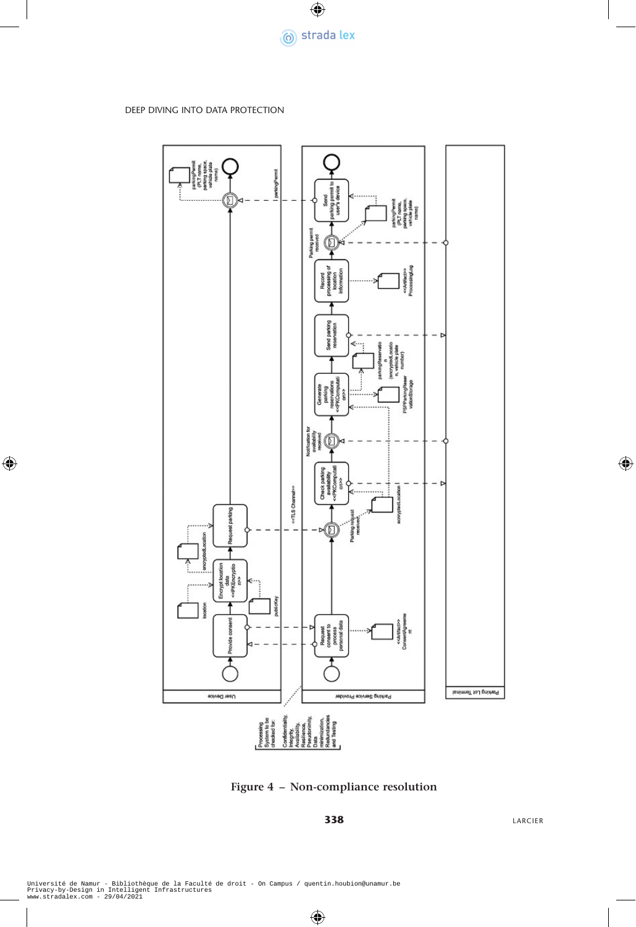



**Figure 4 – Non-compliance resolution**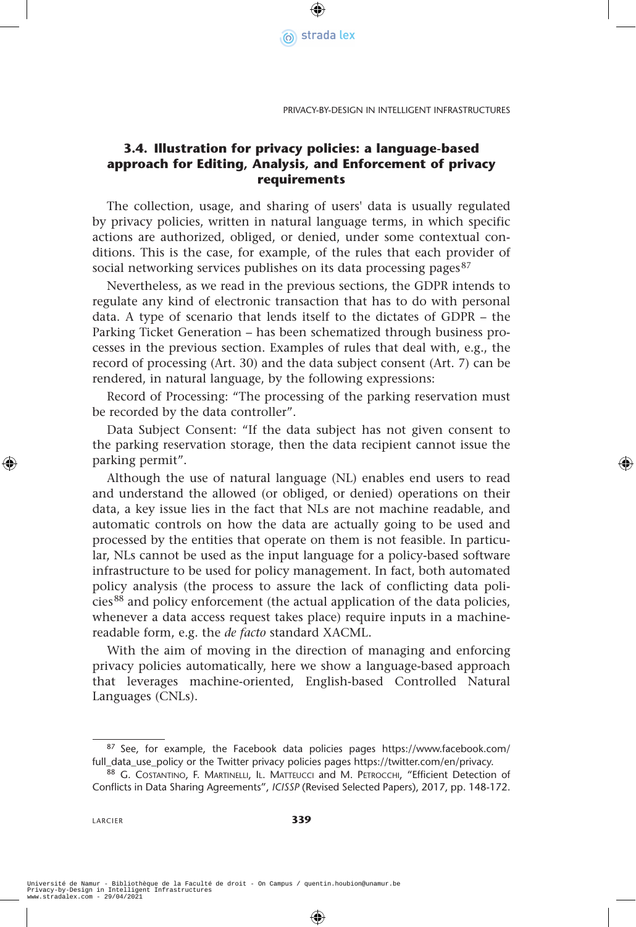

Privacy-by-Design in Intelligent Infrastructures

#### **3.4. Illustration for privacy policies: a language-based approach for Editing, Analysis, and Enforcement of privacy requirements**

The collection, usage, and sharing of users' data is usually regulated by privacy policies, written in natural language terms, in which specific actions are authorized, obliged, or denied, under some contextual conditions. This is the case, for example, of the rules that each provider of social networking services publishes on its data processing pages<sup>87</sup>

Nevertheless, as we read in the previous sections, the GDPR intends to regulate any kind of electronic transaction that has to do with personal data. A type of scenario that lends itself to the dictates of GDPR – the Parking Ticket Generation – has been schematized through business processes in the previous section. Examples of rules that deal with, e.g., the record of processing (Art. 30) and the data subject consent (Art. 7) can be rendered, in natural language, by the following expressions:

Record of Processing: "The processing of the parking reservation must be recorded by the data controller".

Data Subject Consent: "If the data subject has not given consent to the parking reservation storage, then the data recipient cannot issue the parking permit".

Although the use of natural language (NL) enables end users to read and understand the allowed (or obliged, or denied) operations on their data, a key issue lies in the fact that NLs are not machine readable, and automatic controls on how the data are actually going to be used and processed by the entities that operate on them is not feasible. In particular, NLs cannot be used as the input language for a policy-based software infrastructure to be used for policy management. In fact, both automated policy analysis (the process to assure the lack of conflicting data policies<sup>88</sup> and policy enforcement (the actual application of the data policies, whenever a data access request takes place) require inputs in a machinereadable form, e.g. the *de facto* standard XACML.

With the aim of moving in the direction of managing and enforcing privacy policies automatically, here we show a language-based approach that leverages machine-oriented, English-based Controlled Natural Languages (CNLs).

<sup>87</sup> See, for example, the Facebook data policies pages https://www.facebook.com/ full\_data\_use\_policy or the Twitter privacy policies pages https://twitter.com/en/privacy.<br><sup>88</sup> G. Costantino, F. Martinelli, Il. Matteucci and M. Petrocchi, "Efficient Detection of

Conflicts in Data Sharing Agreements", *ICISSP* (Revised Selected Papers), 2017, pp. 148-172.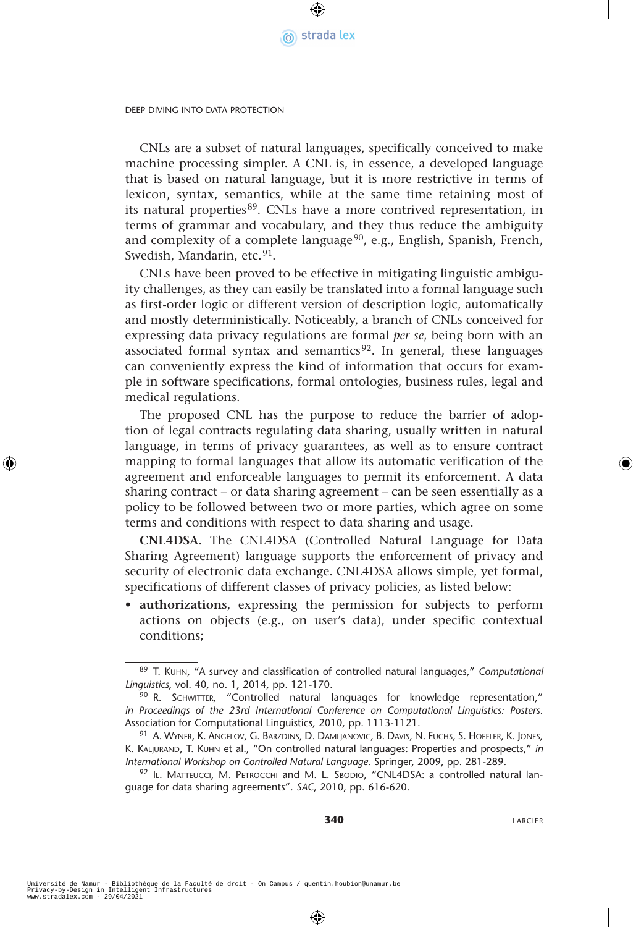

CNLs are a subset of natural languages, specifically conceived to make machine processing simpler. A CNL is, in essence, a developed language that is based on natural language, but it is more restrictive in terms of lexicon, syntax, semantics, while at the same time retaining most of its natural properties<sup>89</sup>. CNLs have a more contrived representation, in terms of grammar and vocabulary, and they thus reduce the ambiguity and complexity of a complete language<sup>90</sup>, e.g., English, Spanish, French, Swedish, Mandarin, etc.<sup>91</sup>.

CNLs have been proved to be effective in mitigating linguistic ambiguity challenges, as they can easily be translated into a formal language such as first-order logic or different version of description logic, automatically and mostly deterministically. Noticeably, a branch of CNLs conceived for expressing data privacy regulations are formal *per se*, being born with an associated formal syntax and semantics<sup>92</sup>. In general, these languages can conveniently express the kind of information that occurs for example in software specifications, formal ontologies, business rules, legal and medical regulations.

The proposed CNL has the purpose to reduce the barrier of adoption of legal contracts regulating data sharing, usually written in natural language, in terms of privacy guarantees, as well as to ensure contract mapping to formal languages that allow its automatic verification of the agreement and enforceable languages to permit its enforcement. A data sharing contract – or data sharing agreement – can be seen essentially as a policy to be followed between two or more parties, which agree on some terms and conditions with respect to data sharing and usage.

**CNL4DSA**. The CNL4DSA (Controlled Natural Language for Data Sharing Agreement) language supports the enforcement of privacy and security of electronic data exchange. CNL4DSA allows simple, yet formal, specifications of different classes of privacy policies, as listed below:

• **authorizations**, expressing the permission for subjects to perform actions on objects (e.g., on user's data), under specific contextual conditions;

<sup>89</sup> T. Kuhn, "A survey and classification of controlled natural languages," *Computational Linguistics*, vol. 40, no. 1, 2014, pp. 121-170.

<sup>90</sup> R. SCHWITTER, "Controlled natural languages for knowledge representation," *in Proceedings of the 23rd International Conference on Computational Linguistics: Posters*. Association for Computational Linguistics, 2010, pp. 1113-1121.

<sup>91</sup> A. WYNER, K. ANGELOV, G. BARZDINS, D. DAMLJANOVIC, B. DAVIS, N. FUCHS, S. HOEFLER, K. JONES, K. KALJURAND, T. KUHN et al., "On controlled natural languages: Properties and prospects," in *International Workshop on Controlled Natural Language*. Springer, 2009, pp. 281-289.

<sup>92</sup> IL. MATTEUCCI, M. PETROCCHI and M. L. SBODIO, "CNL4DSA: a controlled natural language for data sharing agreements". *SAC*, 2010, pp. 616-620.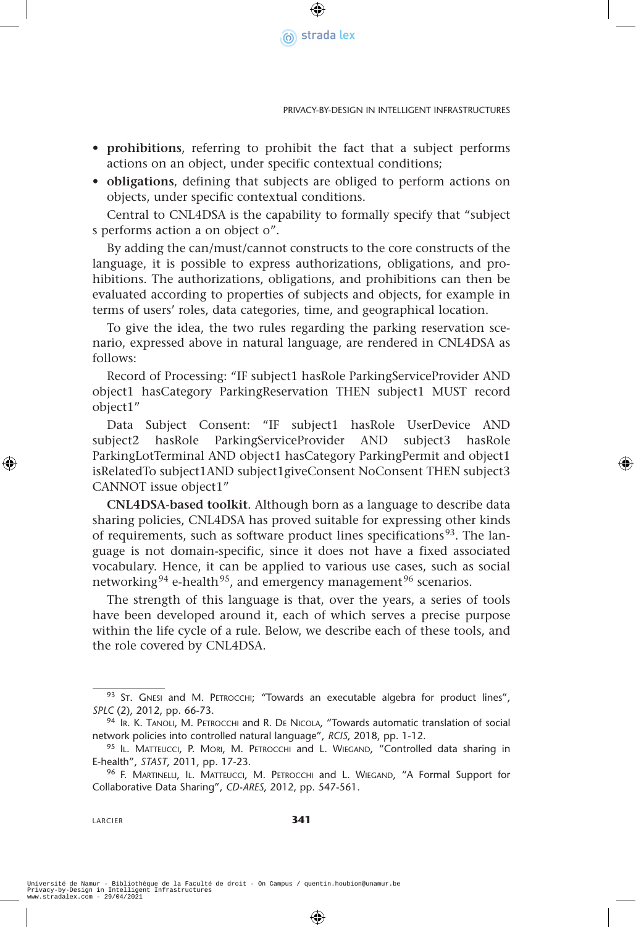

- **prohibitions**, referring to prohibit the fact that a subject performs actions on an object, under specific contextual conditions;
- **obligations**, defining that subjects are obliged to perform actions on objects, under specific contextual conditions.

Central to CNL4DSA is the capability to formally specify that "subject s performs action a on object o".

By adding the can/must/cannot constructs to the core constructs of the language, it is possible to express authorizations, obligations, and prohibitions. The authorizations, obligations, and prohibitions can then be evaluated according to properties of subjects and objects, for example in terms of users' roles, data categories, time, and geographical location.

To give the idea, the two rules regarding the parking reservation scenario, expressed above in natural language, are rendered in CNL4DSA as follows:

Record of Processing: "IF subject1 hasRole ParkingServiceProvider AND object1 hasCategory ParkingReservation THEN subject1 MUST record object1"

Data Subject Consent: "IF subject1 hasRole UserDevice AND subject2 hasRole ParkingServiceProvider AND subject3 hasRole ParkingLotTerminal AND object1 hasCategory ParkingPermit and object1 isRelatedTo subject1AND subject1giveConsent NoConsent THEN subject3 CANNOT issue object1"

**CNL4DSA-based toolkit**. Although born as a language to describe data sharing policies, CNL4DSA has proved suitable for expressing other kinds of requirements, such as software product lines specifications<sup>93</sup>. The language is not domain-specific, since it does not have a fixed associated vocabulary. Hence, it can be applied to various use cases, such as social networking<sup>94</sup> e-health<sup>95</sup>, and emergency management<sup>96</sup> scenarios.

The strength of this language is that, over the years, a series of tools have been developed around it, each of which serves a precise purpose within the life cycle of a rule. Below, we describe each of these tools, and the role covered by CNL4DSA.

LARCIER **341**

<sup>93</sup> ST. GNESI and M. PETROCCHI; "Towards an executable algebra for product lines", *SPLC* (2), 2012, pp. 66-73.

<sup>94</sup> IR. K. TANOLI, M. PETROCCHI and R. DE NICOLA, "Towards automatic translation of social network policies into controlled natural language", *RCIS*, 2018, pp. 1-12.

<sup>95</sup> IL. MATTEUCCI, P. MORI, M. PETROCCHI and L. WIEGAND, "Controlled data sharing in E-health", *STAST*, 2011, pp. 17-23.

<sup>96</sup> F. MARTINELLI, IL. MATTEUCCI, M. PETROCCHI and L. WIEGAND, "A Formal Support for Collaborative Data Sharing", *CD-ARES*, 2012, pp. 547-561.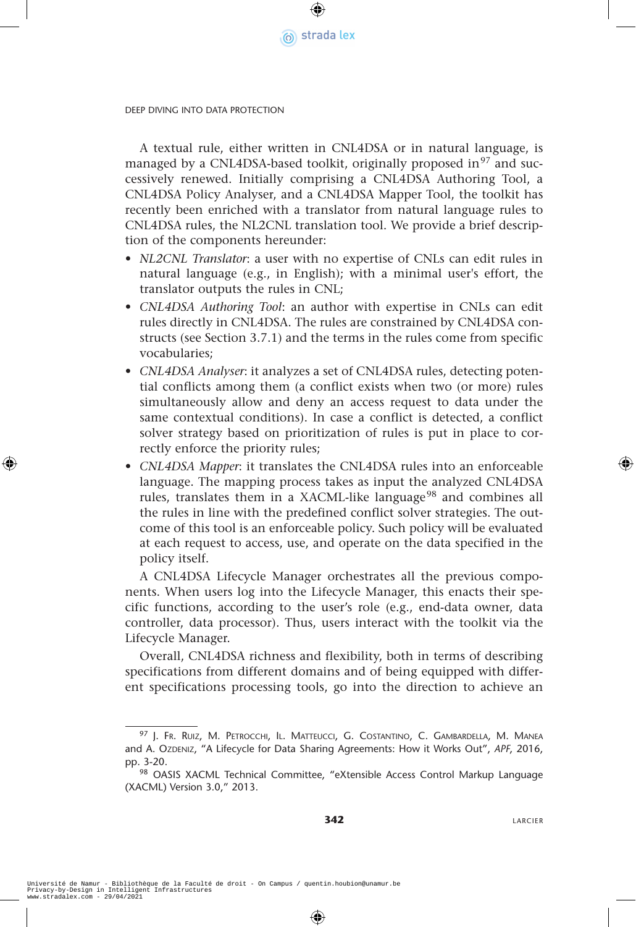

A textual rule, either written in CNL4DSA or in natural language, is managed by a CNL4DSA-based toolkit, originally proposed in $97$  and successively renewed. Initially comprising a CNL4DSA Authoring Tool, a CNL4DSA Policy Analyser, and a CNL4DSA Mapper Tool, the toolkit has recently been enriched with a translator from natural language rules to CNL4DSA rules, the NL2CNL translation tool. We provide a brief description of the components hereunder:

- *NL2CNL Translator*: a user with no expertise of CNLs can edit rules in natural language (e.g., in English); with a minimal user's effort, the translator outputs the rules in CNL;
- *CNL4DSA Authoring Tool*: an author with expertise in CNLs can edit rules directly in CNL4DSA. The rules are constrained by CNL4DSA constructs (see Section 3.7.1) and the terms in the rules come from specific vocabularies;
- *CNL4DSA Analyser*: it analyzes a set of CNL4DSA rules, detecting potential conflicts among them (a conflict exists when two (or more) rules simultaneously allow and deny an access request to data under the same contextual conditions). In case a conflict is detected, a conflict solver strategy based on prioritization of rules is put in place to correctly enforce the priority rules;
- *CNL4DSA Mapper*: it translates the CNL4DSA rules into an enforceable language. The mapping process takes as input the analyzed CNL4DSA rules, translates them in a XACML-like language<sup>98</sup> and combines all the rules in line with the predefined conflict solver strategies. The outcome of this tool is an enforceable policy. Such policy will be evaluated at each request to access, use, and operate on the data specified in the policy itself.

A CNL4DSA Lifecycle Manager orchestrates all the previous components. When users log into the Lifecycle Manager, this enacts their specific functions, according to the user's role (e.g., end-data owner, data controller, data processor). Thus, users interact with the toolkit via the Lifecycle Manager.

Overall, CNL4DSA richness and flexibility, both in terms of describing specifications from different domains and of being equipped with different specifications processing tools, go into the direction to achieve an

<sup>97</sup> J. Fr. Ruiz, M. Petrocchi, Il. Matteucci, G. Costantino, C. Gambardella, M. Manea and A. OzDENIZ, "A Lifecycle for Data Sharing Agreements: How it Works Out", APF, 2016, pp. 3-20.

<sup>98</sup> OASIS XACML Technical Committee, "eXtensible Access Control Markup Language (XACML) Version 3.0," 2013.